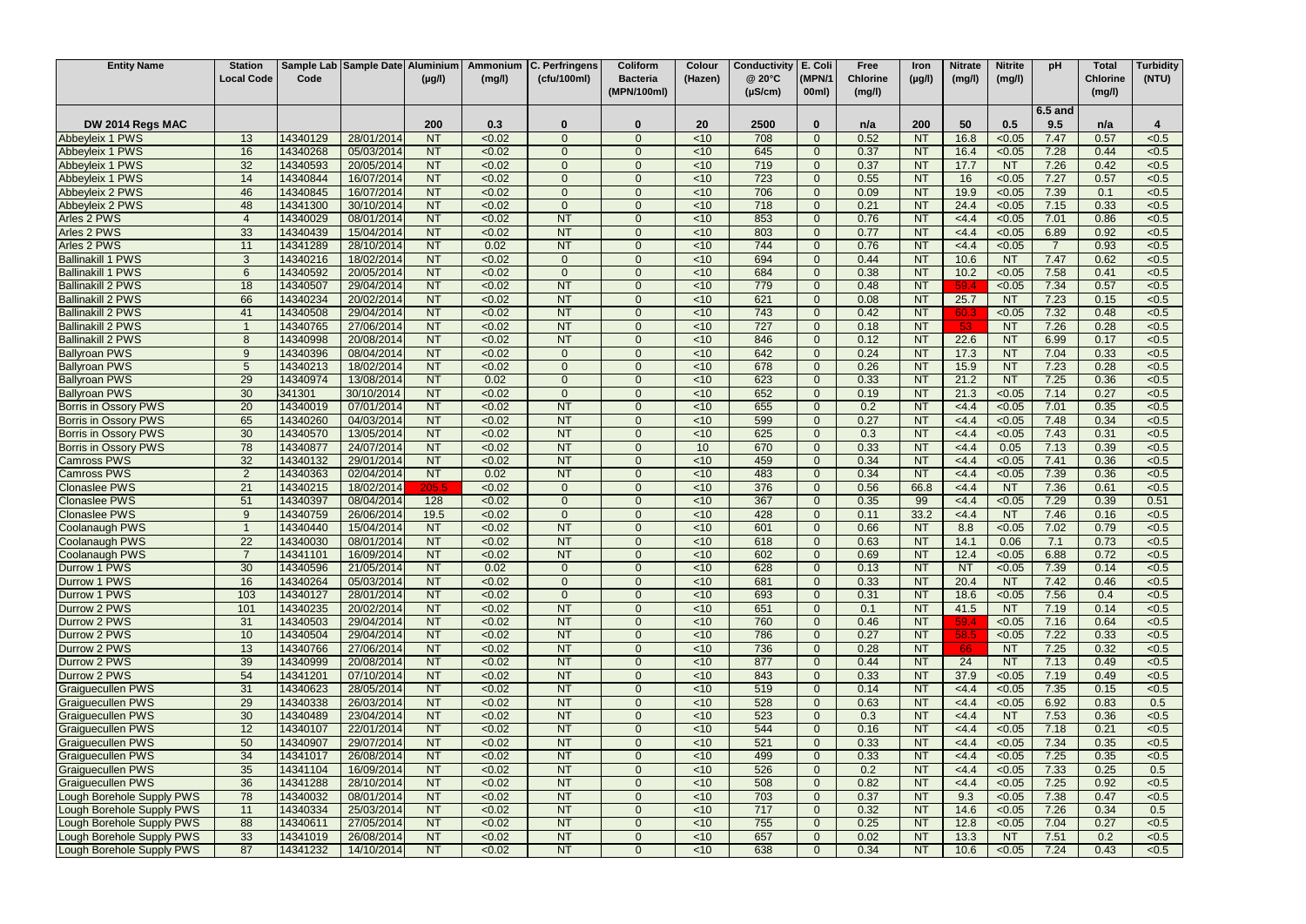| <b>Entity Name</b>          | <b>Station</b>           |          | Sample Lab Sample Date Aluminium |             | Ammonium      | C. Perfringens | Coliform        | Colour          | <b>Conductivity</b> | E. Coli        | Free            | Iron        | <b>Nitrate</b> | <b>Nitrite</b> | pH             | <b>Total</b>    | <b>Turbidity</b> |
|-----------------------------|--------------------------|----------|----------------------------------|-------------|---------------|----------------|-----------------|-----------------|---------------------|----------------|-----------------|-------------|----------------|----------------|----------------|-----------------|------------------|
|                             | Local Code               | Code     |                                  | $(\mu g/l)$ | (mg/l)        | (cfu/100ml)    | <b>Bacteria</b> | (Hazen)         | @ 20°C              | (MPN/1         | <b>Chlorine</b> | $(\mu g/l)$ | (mg/l)         | (mg/l)         |                | <b>Chlorine</b> | (NTU)            |
|                             |                          |          |                                  |             |               |                | (MPN/100ml)     |                 | $(\mu S/cm)$        | 00ml)          | (mg/l)          |             |                |                |                | (mg/l)          |                  |
|                             |                          |          |                                  |             |               |                |                 |                 |                     |                |                 |             |                |                |                |                 |                  |
|                             |                          |          |                                  |             |               |                |                 |                 |                     |                |                 |             |                |                | 6.5 and        |                 |                  |
| DW 2014 Regs MAC            |                          |          |                                  | 200         | 0.3           | 0              | $\Omega$        | <b>20</b>       | 2500                | $\mathbf 0$    | n/a             | 200         | 50             | 0.5            | 9.5            | n/a             | 4                |
| Abbeyleix 1 PWS             | 13                       | 14340129 | 28/01/2014                       | <b>NT</b>   | < 0.02        | $\Omega$       | $\Omega$        | < 10            | 708                 | $\Omega$       | 0.52            | <b>NT</b>   | 16.8           | < 0.05         | 7.47           | 0.57            | < 0.5            |
| Abbeyleix 1 PWS             | 16                       | 14340268 | 05/03/2014                       | NT          | < 0.02        | $\Omega$       | $\Omega$        | < 10            | 645                 | $\overline{0}$ | 0.37            | <b>NT</b>   | 16.4           | < 0.05         | 7.28           | 0.44            | < 0.5            |
| Abbeyleix 1 PWS             | 32                       | 14340593 | 20/05/2014                       | <b>NT</b>   | < 0.02        | $\Omega$       | $\Omega$        | $<$ 10          | 719                 | $\Omega$       | 0.37            | <b>NT</b>   | 17.7           | <b>NT</b>      | 7.26           | 0.42            | < 0.5            |
| Abbeyleix 1 PWS             | 14                       | 14340844 | 16/07/2014                       | <b>NT</b>   | < 0.02        | $\Omega$       | $\Omega$        | < 10            | 723                 | $\Omega$       | 0.55            | <b>NT</b>   | 16             | < 0.05         | 7.27           | 0.57            | < 0.5            |
| Abbeyleix 2 PWS             | 46                       | 14340845 | 16/07/2014                       | NT          | < 0.02        | $\Omega$       | $\Omega$        | < 10            | 706                 | $\Omega$       | 0.09            | <b>NT</b>   | 19.9           | < 0.05         | 7.39           | 0.1             | < 0.5            |
| Abbeyleix 2 PWS             | 48                       | 14341300 | 30/10/2014                       | <b>NT</b>   | < 0.02        | $\Omega$       | $\Omega$        | < 10            | 718                 | $\Omega$       | 0.21            | <b>NT</b>   | 24.4           | < 0.05         | 7.15           | 0.33            | < 0.5            |
| Arles 2 PWS                 | $\boldsymbol{\varDelta}$ | 14340029 | 08/01/2014                       | <b>NT</b>   | < 0.02        | <b>NT</b>      |                 | < 10            | 853                 | $\Omega$       | 0.76            | <b>NT</b>   | <4.4           | < 0.05         | 7.01           | 0.86            | < 0.5            |
| Arles 2 PWS                 | 33                       | 14340439 | 15/04/2014                       | NT          | < 0.02        | <b>NT</b>      |                 | < 10            | 803                 | $\overline{0}$ | 0.77            | <b>NT</b>   | <4.4           | < 0.05         | 6.89           | 0.92            | < 0.5            |
| Arles 2 PWS                 | 11                       | 14341289 | 28/10/2014                       | NT          | 0.02          | <b>NT</b>      | $\Omega$        | < 10            | 744                 | $\overline{0}$ | 0.76            | <b>NT</b>   | <4.4           | < 0.05         | $\overline{7}$ | 0.93            | < 0.5            |
| <b>Ballinakill 1 PWS</b>    | 3                        | 14340216 | 18/02/2014                       | <b>NT</b>   | < 0.02        | $\Omega$       | $\Omega$        | $<$ 10          | 694                 | $\Omega$       | 0.44            | <b>NT</b>   | 10.6           | <b>NT</b>      | 7.47           | 0.62            | < 0.5            |
| <b>Ballinakill 1 PWS</b>    | 6                        | 14340592 | 20/05/2014                       | NT          | < 0.02        | $\Omega$       | $\Omega$        | $\overline{5}$  | 684                 | $\Omega$       | 0.38            | <b>NT</b>   | 10.2           | < 0.05         | 7.58           | 0.41            | < 0.5            |
| <b>Ballinakill 2 PWS</b>    | 18                       | 14340507 | 29/04/2014                       | <b>NT</b>   | < 0.02        | <b>NT</b>      | $\Omega$        | $<$ 10          | 779                 | $\Omega$       | 0.48            | <b>NT</b>   | 59.4           | < 0.05         | 7.34           | 0.57            | < 0.5            |
| <b>Ballinakill 2 PWS</b>    | 66                       | 14340234 | 20/02/2014                       | <b>NT</b>   | < 0.02        | <b>NT</b>      | $\Omega$        | < 10            | 621                 | $\overline{0}$ | 0.08            | <b>NT</b>   | 25.7           | <b>NT</b>      | 7.23           | 0.15            | < 0.5            |
| <b>Ballinakill 2 PWS</b>    | 41                       | 14340508 | 29/04/2014                       | NT          | < 0.02        | NT             | $\Omega$        | $\overline{5}$  | 743                 | $\mathbf{0}$   | 0.42            | <b>NT</b>   | 60.3           | < 0.05         | 7.32           | 0.48            | < 0.5            |
| <b>Ballinakill 2 PWS</b>    |                          | 14340765 | 27/06/2014                       | <b>NT</b>   | < 0.02        | <b>NT</b>      | $\Omega$        | < 10            | 727                 | $\Omega$       | 0.18            | <b>NT</b>   | 53             | <b>NT</b>      | 7.26           | 0.28            | < 0.5            |
| <b>Ballinakill 2 PWS</b>    | 8                        | 14340998 | 20/08/2014                       | <b>NT</b>   | < 0.02        | <b>NT</b>      | $\Omega$        | < 10            | 846                 | $\Omega$       | 0.12            | <b>NT</b>   | 22.6           | <b>NT</b>      | 6.99           | 0.17            | < 0.5            |
| <b>Ballyroan PWS</b>        | 9                        | 14340396 | 08/04/2014                       | NT          | < 0.02        | $\Omega$       | $\Omega$        | < 10            | 642                 | $\Omega$       | 0.24            | <b>NT</b>   | 17.3           | <b>NT</b>      | 7.04           | 0.33            | < 0.5            |
| <b>Ballyroan PWS</b>        | 5                        | 14340213 | 18/02/2014                       | <b>NT</b>   | < 0.02        | $\Omega$       | $\Omega$        | < 10            | 678                 | $\Omega$       | 0.26            | <b>NT</b>   | 15.9           | <b>NT</b>      | 7.23           | 0.28            | < 0.5            |
| <b>Ballyroan PWS</b>        | 29                       | 14340974 | 13/08/2014                       | <b>NT</b>   | 0.02          | $\Omega$       |                 | $<$ 10          | 623                 | $\Omega$       | 0.33            | <b>NT</b>   | 21.2           | <b>NT</b>      | 7.25           | 0.36            | < 0.5            |
| <b>Ballyroan PWS</b>        | 30                       | 341301   | 30/10/2014                       | <b>NT</b>   | < 0.02        | $\Omega$       |                 | $<$ 10          | 652                 | $\overline{0}$ | 0.19            | <b>NT</b>   | 21.3           | < 0.05         | 7.14           | 0.27            | < 0.5            |
| <b>Borris in Ossory PWS</b> | 20                       | 14340019 | 07/01/2014                       | <b>NT</b>   | < 0.02        | <b>NT</b>      | $\Omega$        | $<$ 10          | 655                 | $\overline{0}$ | 0.2             | <b>NT</b>   | <4.4           | < 0.05         | 7.01           | 0.35            | < 0.5            |
| <b>Borris in Ossory PWS</b> | 65                       | 14340260 | 04/03/2014                       | <b>NT</b>   | < 0.02        | <b>NT</b>      | $\Omega$        | $<$ 10          | 599                 | $\Omega$       | 0.27            | <b>NT</b>   | <4.4           | < 0.05         | 7.48           | 0.34            | < 0.5            |
| <b>Borris in Ossory PWS</b> | 30                       | 14340570 | 13/05/2014                       | NT          | < 0.02        | <b>NT</b>      | $\Omega$        | $<$ 10          | 625                 | $\Omega$       | 0.3             | <b>NT</b>   | <4.4           | < 0.05         | 7.43           | 0.31            | < 0.5            |
| <b>Borris in Ossory PWS</b> | 78                       | 14340877 | 24/07/2014                       | NT          | < 0.02        | NT             | $\Omega$        | 10 <sup>1</sup> | 670                 | $\Omega$       | 0.33            | <b>NT</b>   | <4.4           | 0.05           | 7.13           | 0.39            | < 0.5            |
| <b>Camross PWS</b>          | 32                       | 14340132 | 29/01/2014                       | <b>NT</b>   | < 0.02        | <b>NT</b>      | $\Omega$        | < 10            | 459                 | $\Omega$       | 0.34            | <b>NT</b>   | <4.4           | < 0.05         | 7.41           | 0.36            | < 0.5            |
| <b>Camross PWS</b>          | $\overline{2}$           | 14340363 | 02/04/2014                       | NT          | 0.02          | NT             | $\Omega$        | $<$ 10          | 483                 | $\overline{0}$ | 0.34            | <b>NT</b>   | <4.4           | < 0.05         | 7.39           | 0.36            | < 0.5            |
| <b>Clonaslee PWS</b>        | 21                       | 14340215 | 18/02/2014                       | 205.5       | < 0.02        | $\Omega$       | $\Omega$        | < 10            | 376                 | $\Omega$       | 0.56            | 66.8        | <4.4           | <b>NT</b>      | 7.36           | 0.61            | < 0.5            |
| <b>Clonaslee PWS</b>        | 51                       | 14340397 | 08/04/2014                       | 128         | < 0.02        | $\Omega$       | $\Omega$        | $<$ 10          | 367                 | $\Omega$       | 0.35            | 99          | <4.4           | < 0.05         | 7.29           | 0.39            | 0.51             |
| <b>Clonaslee PWS</b>        | $\mathbf{Q}$             | 14340759 | 26/06/2014                       | 19.5        | < 0.02        | $\Omega$       | $\Omega$        | $<$ 10          | 428                 | $\Omega$       | 0.11            | 33.2        | <4.4           | <b>NT</b>      | 7.46           | 0.16            | < 0.5            |
| Coolanaugh PWS              |                          | 14340440 | 15/04/2014                       | <b>NT</b>   | < 0.02        | <b>NT</b>      | $\Omega$        | < 10            | 601                 | $\Omega$       | 0.66            | <b>NT</b>   | 8.8            | < 0.05         | 7.02           | 0.79            | < 0.5            |
| Coolanaugh PWS              | 22                       | 14340030 | 08/01/2014                       | <b>NT</b>   | < 0.02        | <b>NT</b>      |                 | < 10            | 618                 | $\Omega$       | 0.63            | <b>NT</b>   | 14.1           | 0.06           | 7.1            | 0.73            | < 0.5            |
| <b>Coolanaugh PWS</b>       |                          | 14341101 | 16/09/2014                       | <b>NT</b>   | < 0.02        | <b>NT</b>      |                 | ~10             | 602                 | $\Omega$       | 0.69            | <b>NT</b>   | 12.4           | < 0.05         | 6.88           | 0.72            | < 0.5            |
| Durrow 1 PWS                | 30                       | 14340596 | 21/05/2014                       | <b>NT</b>   | 0.02          | $\Omega$       | $\Omega$        | $<$ 10          | 628                 | $\Omega$       | 0.13            | <b>NT</b>   | <b>NT</b>      | < 0.05         | 7.39           | 0.14            | < 0.5            |
| Durrow 1 PWS                | 16                       | 14340264 | 05/03/2014                       | <b>NT</b>   | < 0.02        | $\Omega$       | $\Omega$        | $<$ 10          | 681                 | $\Omega$       | 0.33            | <b>NT</b>   | 20.4           | <b>NT</b>      | 7.42           | 0.46            | < 0.5            |
| Durrow 1 PWS                | 103                      | 14340127 | 28/01/2014                       | NT          | < 0.02        | $\Omega$       | $\Omega$        | $\overline{5}$  | 693                 | $\Omega$       | 0.31            | <b>NT</b>   | 18.6           | < 0.05         | 7.56           | 0.4             | < 0.5            |
| Durrow 2 PWS                | 101                      | 14340235 | 20/02/2014                       | <b>NT</b>   | < 0.02        | NT             | $\Omega$        | $<$ 10          | 651                 | $\overline{0}$ | 0.1             | <b>NT</b>   | 41.5           | <b>NT</b>      | 7.19           | 0.14            | < 0.5            |
| Durrow 2 PWS                | 31                       | 14340503 | 29/04/2014                       | NT          | $\sqrt{0.02}$ | NT             | $\Omega$        | $\overline{5}$  | 760                 | $\Omega$       | 0.46            | NT          | 59.4           | < 0.05         | 7.16           | 0.64            | < 0.5            |
| Durrow 2 PWS                | 10                       | 14340504 | 29/04/2014                       | NT          | < 0.02        | NT             | $\Omega$        | $<$ 10          | 786                 | $\Omega$       | 0.27            | <b>NT</b>   | 58.5           | < 0.05         | 7.22           | 0.33            | < 0.5            |
| Durrow 2 PWS                | 13                       | 14340766 | 27/06/2014                       | <b>NT</b>   | < 0.02        | <b>NT</b>      | $\overline{0}$  | $<$ 10          | 736                 | $\overline{0}$ | 0.28            | <b>NT</b>   | 66             | <b>NT</b>      | 7.25           | 0.32            | < 0.5            |
| Durrow 2 PWS                | 39                       | 14340999 | 20/08/2014                       | NT          | < 0.02        | NT             | $\Omega$        | $<$ 10          | 877                 | $\Omega$       | 0.44            | <b>NT</b>   | 24             | <b>NT</b>      | 7.13           | 0.49            | < 0.5            |
| Durrow 2 PWS                | 54                       | 14341201 | 07/10/2014                       | NT          | < 0.02        | NT             | $\Omega$        | $<$ 10          | 843                 | $\Omega$       | 0.33            | <b>NT</b>   | 37.9           | < 0.05         | 7.19           | 0.49            | < 0.5            |
| <b>Graiguecullen PWS</b>    | 31                       | 14340623 | 28/05/2014                       | <b>NT</b>   | < 0.02        | NT             | $\Omega$        | $<$ 10          | 519                 | $\overline{0}$ | 0.14            | <b>NT</b>   | <4.4           | < 0.05         | 7.35           | 0.15            | < 0.5            |
| <b>Graiguecullen PWS</b>    | 29                       | 14340338 | 26/03/2014                       | <b>NT</b>   | < 0.02        | NT             | $\Omega$        | $<$ 10          | 528                 | $\overline{0}$ | 0.63            | <b>NT</b>   | <4.4           | < 0.05         | 6.92           | 0.83            | 0.5              |
| <b>Graiguecullen PWS</b>    | 30                       | 14340489 | 23/04/2014                       | <b>NT</b>   | < 0.02        | <b>NT</b>      | $\Omega$        | $<$ 10          | 523                 | $\overline{0}$ | 0.3             | <b>NT</b>   | <4.4           | <b>NT</b>      | 7.53           | 0.36            | < 0.5            |
| <b>Graiguecullen PWS</b>    | 12                       | 14340107 | 22/01/2014                       | <b>NT</b>   | < 0.02        | <b>NT</b>      | $\Omega$        | $<$ 10          | 544                 | $\overline{0}$ | 0.16            | <b>NT</b>   | <4.4           | < 0.05         | 7.18           | 0.21            | < 0.5            |
| <b>Graiguecullen PWS</b>    | 50                       | 14340907 | 29/07/2014                       | <b>NT</b>   | < 0.02        | <b>NT</b>      | $\Omega$        | $<$ 10          | 521                 | $\overline{0}$ | 0.33            | <b>NT</b>   | <4.4           | < 0.05         | 7.34           | 0.35            | < 0.5            |
| <b>Graiguecullen PWS</b>    | 34                       | 14341017 | 26/08/2014                       | NT          | < 0.02        | NT             | $\Omega$        | $<$ 10          | 499                 | $\overline{0}$ | 0.33            | <b>NT</b>   | <4.4           | < 0.05         | 7.25           | 0.35            | < 0.5            |
| <b>Graiguecullen PWS</b>    | 35                       | 14341104 | 16/09/2014                       | <b>NT</b>   | < 0.02        | <b>NT</b>      | $\Omega$        | $<$ 10          | 526                 | $\overline{0}$ | 0.2             | <b>NT</b>   | <4.4           | < 0.05         | 7.33           | 0.25            | 0.5              |
| <b>Graiguecullen PWS</b>    | 36                       | 14341288 | 28/10/2014                       | NT          | < 0.02        | NT             | $\Omega$        | $<$ 10          | 508                 | $\overline{0}$ | 0.82            | <b>NT</b>   | <4.4           | < 0.05         | 7.25           | 0.92            | < 0.5            |
| Lough Borehole Supply PWS   | 78                       | 14340032 | 08/01/2014                       | NT          | < 0.02        | NT             | $\Omega$        | $<$ 10          | 703                 | $\overline{0}$ | 0.37            | <b>NT</b>   | 9.3            | < 0.05         | 7.38           | 0.47            | < 0.5            |
| Lough Borehole Supply PWS   | 11                       | 14340334 | 25/03/2014                       | <b>NT</b>   | < 0.02        | <b>NT</b>      | $\Omega$        | $<$ 10          | 717                 | $\overline{0}$ | 0.32            | <b>NT</b>   | 14.6           | < 0.05         | 7.26           | 0.34            | 0.5              |
| Lough Borehole Supply PWS   | 88                       | 14340611 | 27/05/2014                       | <b>NT</b>   | < 0.02        | <b>NT</b>      | $\Omega$        | $<$ 10          | 755                 | $\Omega$       | 0.25            | <b>NT</b>   | 12.8           | < 0.05         | 7.04           | 0.27            | < 0.5            |
| Lough Borehole Supply PWS   | 33                       | 14341019 | 26/08/2014                       | <b>NT</b>   | <0.02         | NT             | $\Omega$        | <10             | 657                 | $\overline{0}$ | 0.02            | <b>NT</b>   | 13.3           | <b>NT</b>      | 7.51           | 0.2             | < 0.5            |
| Lough Borehole Supply PWS   | 87                       | 14341232 | 14/10/2014                       | <b>NT</b>   | < 0.02        | <b>NT</b>      | $\Omega$        | $<$ 10          | 638                 | $\mathbf{0}$   | 0.34            | <b>NT</b>   | 10.6           | < 0.05         | 7.24           | 0.43            | < 0.5            |
|                             |                          |          |                                  |             |               |                |                 |                 |                     |                |                 |             |                |                |                |                 |                  |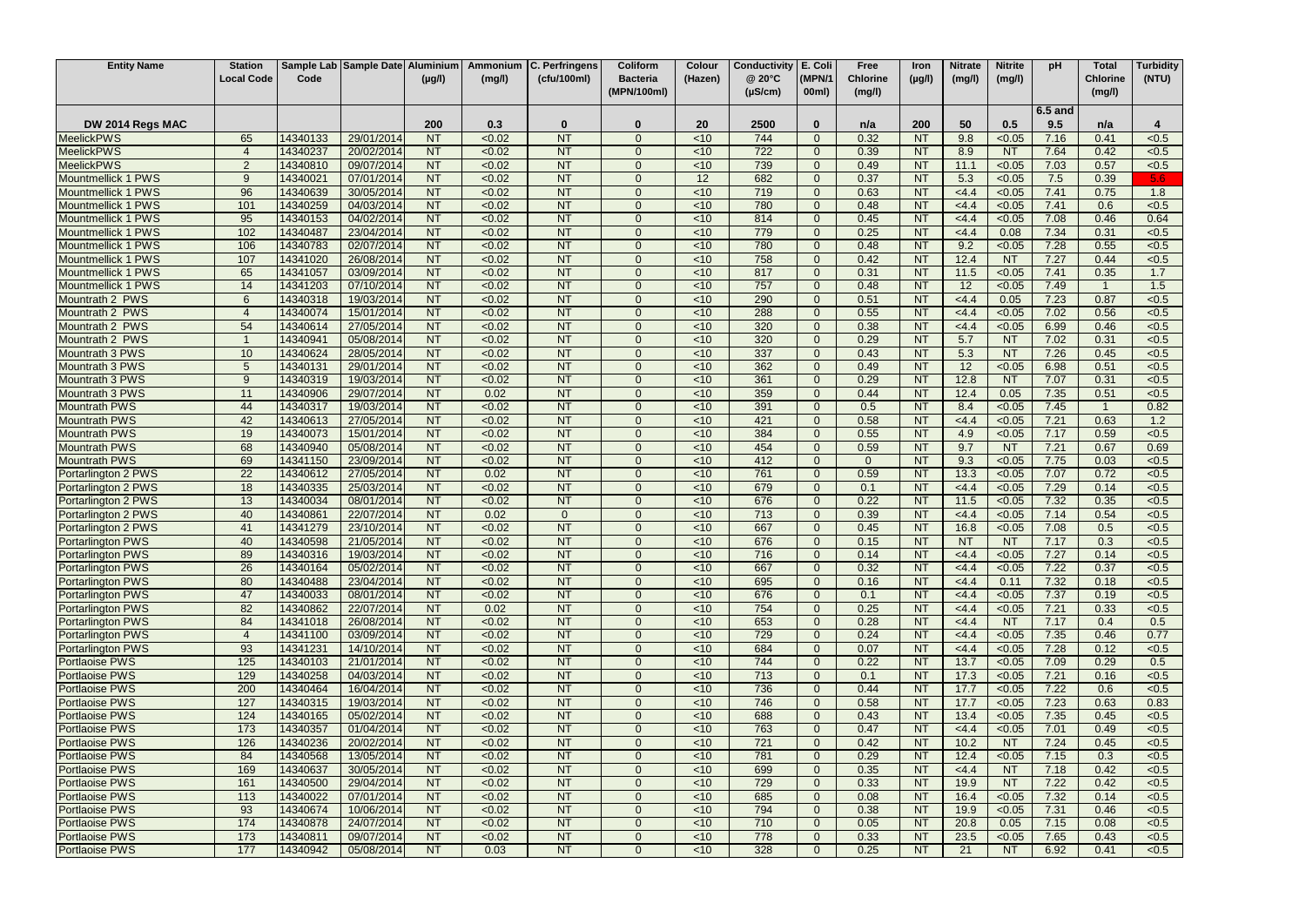| (MPN/1<br>Local Code<br>Code<br>(cfu/100ml)<br>@ 20°C<br><b>Chlorine</b><br><b>Chlorine</b><br>(NTU)<br>(Hazen)<br>$(\mu g/l)$<br>$(\mu g/l)$<br>(mg/l)<br><b>Bacteria</b><br>(mg/l)<br>(mg/l)<br>(MPN/100ml)<br>$(\mu S/cm)$<br>00ml)<br>(mg/l)<br>(mg/l)<br>6.5 and<br>50<br>0.5<br>DW 2014 Regs MAC<br>200<br>0.3<br><b>20</b><br>2500<br>200<br>9.5<br>$\bf{0}$<br>n/a<br>0<br>$\Omega$<br>n/a<br>4<br><b>NT</b><br><b>NT</b><br>0.32<br>9.8<br>65<br>29/01/2014<br>< 0.02<br>< 10<br>744<br>$\mathbf{0}$<br><b>NT</b><br>< 0.05<br>7.16<br>0.41<br>< 0.5<br><b>MeelickPWS</b><br>14340133<br>$\Omega$<br>NT<br><b>NT</b><br>722<br><b>MeelickPWS</b><br>< 0.02<br>< 10<br>$\overline{0}$<br>0.39<br><b>NT</b><br>8.9<br><b>NT</b><br>7.64<br>0.42<br>< 0.5<br>14340237<br>20/02/2014<br>$\Omega$<br><b>NT</b><br><b>MeelickPWS</b><br>$\overline{\mathcal{L}}$<br><b>NT</b><br>< 0.02<br>739<br>0.57<br>14340810<br>09/07/2014<br>$<$ 10<br>$\Omega$<br>0.49<br><b>NT</b><br>11.1<br>< 0.05<br>7.03<br>< 0.5<br>$\Omega$<br><b>NT</b><br>Mountmellick 1 PWS<br>9<br>14340021<br>07/01/2014<br><b>NT</b><br>< 0.02<br>12<br>682<br>0.37<br>5.3<br>< 0.05<br>7.5<br>0.39<br>$\Omega$<br>$\Omega$<br><b>NT</b><br>5.6<br>96<br>NT<br>NT<br>719<br>0.63<br>0.75<br>Mountmellick 1 PWS<br>14340639<br>30/05/2014<br>< 0.02<br>< 10<br><b>NT</b><br>< 4.4<br>< 0.05<br>7.41<br>$\Omega$<br>$\Omega$<br>1.8<br><b>NT</b><br>780<br>Mountmellick 1 PWS<br>101<br>14340259<br>04/03/2014<br><b>NT</b><br>< 0.02<br>< 10<br>0.48<br><b>NT</b><br><4.4<br>< 0.05<br>7.41<br>0.6<br>< 0.5<br>$\Omega$<br>95<br><b>NT</b><br>Mountmellick 1 PWS<br>14340153<br>04/02/2014<br><b>NT</b><br>< 0.02<br>< 10<br>814<br>$\Omega$<br>0.45<br><b>NT</b><br><4.4<br>< 0.05<br>7.08<br>0.46<br>0.64<br>102<br><b>NT</b><br>779<br>Mountmellick 1 PWS<br>23/04/2014<br><b>NT</b><br>< 0.02<br>< 10<br>$\overline{0}$<br>0.25<br><b>NT</b><br>0.08<br>7.34<br>0.31<br>14340487<br><4.4<br>< 0.5<br>106<br><b>NT</b><br>780<br>Mountmellick 1 PWS<br>14340783<br>02/07/2014<br><b>NT</b><br>< 0.02<br>< 10<br>0.48<br><b>NT</b><br>7.28<br>0.55<br>< 0.5<br>$\overline{0}$<br>9.2<br>< 0.05<br>$\Omega$<br><b>NT</b><br>107<br><b>NT</b><br>758<br><b>NT</b><br>Mountmellick 1 PWS<br>14341020<br>26/08/2014<br>< 0.02<br>0.42<br>12.4<br><b>NT</b><br>7.27<br>< 0.5<br>$<$ 10<br>$\Omega$<br>0.44<br>$\Omega$<br><b>NT</b><br>65<br>NT<br>< 0.02<br>$\overline{5}$<br>817<br>0.31<br><b>NT</b><br>11.5<br>0.35<br>Mountmellick 1 PWS<br>14341057<br>03/09/2014<br>$\Omega$<br>< 0.05<br>7.41<br>1.7<br>$\Omega$<br>NT<br>Mountmellick 1 PWS<br>14<br>07/10/2014<br><b>NT</b><br>< 0.02<br>757<br><b>NT</b><br>12<br>7.49<br>1.5<br>14341203<br>$<$ 10<br>$\Omega$<br>0.48<br>< 0.05<br>$\Omega$<br><b>NT</b><br>6<br><b>NT</b><br>< 0.02<br>290<br>0.51<br><b>NT</b><br>< 4.4<br>7.23<br>0.87<br>Mountrath 2 PWS<br>14340318<br>19/03/2014<br>< 10<br>$\Omega$<br>0.05<br>< 0.5<br>$\Omega$<br>NT<br>NT<br>< 0.02<br>288<br>0.55<br><b>NT</b><br>7.02<br>0.56<br>Mountrath 2 PWS<br>14340074<br>15/01/2014<br>$<$ 10<br>$\mathbf{0}$<br><4.4<br>< 0.05<br>< 0.5<br>$\Omega$<br>$\boldsymbol{\varDelta}$<br><b>NT</b><br>54<br>27/05/2014<br><b>NT</b><br>< 0.02<br>320<br>0.38<br>Mountrath 2 PWS<br>14340614<br>$<$ 10<br>$\Omega$<br><b>NT</b><br>< 0.05<br>6.99<br>0.46<br>< 0.5<br>$\Omega$<br><4.4<br><b>NT</b><br>0.29<br>Mountrath 2 PWS<br>14340941<br>05/08/2014<br><b>NT</b><br>< 0.02<br>< 10<br>320<br><b>NT</b><br>5.7<br>7.02<br>0.31<br>< 0.5<br>$\Omega$<br>$\Omega$<br><b>NT</b><br>NT<br>337<br>10<br>NT<br>< 0.02<br>0.43<br>5.3<br>7.26<br>0.45<br>Mountrath 3 PWS<br>14340624<br>28/05/2014<br>< 10<br>$\Omega$<br><b>NT</b><br><b>NT</b><br>< 0.5<br>$\Omega$<br>NT<br>362<br><b>NT</b><br>< 0.02<br>0.49<br><b>NT</b><br>12<br>6.98<br>Mountrath 3 PWS<br>5<br>14340131<br>29/01/2014<br>$\Omega$<br>< 10<br>$\Omega$<br>< 0.05<br>0.51<br>< 0.5<br><b>NT</b><br><b>NT</b><br>361<br>0.29<br>12.8<br>Mountrath 3 PWS<br>9<br>14340319<br>19/03/2014<br>< 0.02<br>< 10<br>$\mathbf{0}$<br><b>NT</b><br><b>NT</b><br>7.07<br>0.31<br>< 0.5<br>11<br><b>NT</b><br>Mountrath 3 PWS<br>29/07/2014<br><b>NT</b><br>0.02<br>< 10<br>359<br>0.44<br><b>NT</b><br>12.4<br>0.05<br>7.35<br>14340906<br>$\overline{0}$<br>0.51<br>< 0.5<br><b>NT</b><br><b>Mountrath PWS</b><br>44<br><b>NT</b><br>< 0.02<br>391<br><b>NT</b><br>7.45<br>0.82<br>14340317<br>19/03/2014<br>$<$ 10<br>$\overline{0}$<br>0.5<br>8.4<br>< 0.05<br>$\Omega$<br><b>NT</b><br>42<br><b>NT</b><br>< 0.02<br>421<br>0.58<br><b>NT</b><br>7.21<br>0.63<br><b>Mountrath PWS</b><br>14340613<br>27/05/2014<br>$\Omega$<br>$<$ 10<br>$\Omega$<br><4.4<br>< 0.05<br>1.2<br><b>NT</b><br>19<br>NT<br>384<br>0.55<br>0.59<br><b>Mountrath PWS</b><br>14340073<br>< 0.02<br>$<$ 10<br><b>NT</b><br>4.9<br>7.17<br>< 0.5<br>15/01/2014<br>$\Omega$<br>$\Omega$<br>< 0.05<br><b>NT</b><br>68<br><b>NT</b><br>454<br><b>NT</b><br>9.7<br>7.21<br>0.67<br>0.69<br><b>Mountrath PWS</b><br>05/08/2014<br>< 0.02<br>$<$ 10<br>$\Omega$<br>0.59<br><b>NT</b><br>14340940<br>$\Omega$<br><b>NT</b><br>69<br><b>NT</b><br>7.75<br><b>Mountrath PWS</b><br>< 0.02<br>< 10<br>412<br>$\mathbf{0}$<br><b>NT</b><br>9.3<br>< 0.05<br>0.03<br>14341150<br>23/09/2014<br>$\Omega$<br>$\Omega$<br>< 0.5<br>22<br>NT<br><b>NT</b><br>761<br>0.59<br>0.02<br>$<$ 10<br>$\overline{0}$<br><b>NT</b><br>13.3<br>< 0.05<br>7.07<br>0.72<br>< 0.5<br>Portarlington 2 PWS<br>14340612<br>27/05/2014<br>$\Omega$<br>18<br><b>NT</b><br><b>NT</b><br>25/03/2014<br>< 0.02<br>< 10<br>679<br>$\Omega$<br>0.1<br>< 0.05<br>7.29<br>0.14<br>< 0.5<br>Portarlington 2 PWS<br>14340335<br>$\Omega$<br><b>NT</b><br><4.4<br><b>NT</b><br>13<br>14340034<br>08/01/2014<br><b>NT</b><br>< 0.02<br>676<br>0.22<br>< 0.05<br>7.32<br>0.35<br>< 0.5<br>Portarlington 2 PWS<br>$\Omega$<br>$<$ 10<br>$\Omega$<br><b>NT</b><br>11.5<br>713<br>40<br><b>NT</b><br>0.02<br>0.39<br>< 0.05<br>7.14<br>0.54<br>< 0.5<br>Portarlington 2 PWS<br>1434086<br>22/07/2014<br>$\Omega$<br>$\Omega$<br>< 10<br>$\Omega$<br><b>NT</b><br><4.4<br><b>NT</b><br>667<br>41<br>14341279<br>23/10/2014<br><b>NT</b><br>< 0.02<br>< 10<br>0.45<br><b>NT</b><br>< 0.05<br>7.08<br>0.5<br>< 0.5<br>Portarlington 2 PWS<br>$\Omega$<br>16.8<br><b>NT</b><br>7.17<br>< 0.5<br><b>Portarlington PWS</b><br>40<br>21/05/2014<br><b>NT</b><br>< 0.02<br>< 10<br>676<br>$\Omega$<br>0.15<br><b>NT</b><br><b>NT</b><br>NT<br>0.3<br>14340598<br><b>Portarlington PWS</b><br>19/03/2014<br>< 0.02<br><b>NT</b><br>0.14<br>< 0.05<br>7.27<br>89<br>14340316<br><b>NT</b><br>716<br>$\mathbf{0}$<br><b>NT</b><br><4.4<br>0.14<br>~10<br>< 0.5<br>0<br>Portarlington PWS<br>26<br>05/02/2014<br><b>NT</b><br><b>NT</b><br>14340164<br>< 0.02<br>$<$ 10<br>667<br>$\Omega$<br>0.32<br><b>NT</b><br><4.4<br>< 0.05<br>7.22<br>0.37<br>< 0.5<br>$\Omega$<br><b>Portarlington PWS</b><br><b>NT</b><br>80<br>14340488<br>23/04/2014<br><b>NT</b><br>0.16<br>< 0.02<br>$\Omega$<br>$<$ 10<br>695<br>$\Omega$<br><b>NT</b><br><4.4<br>0.11<br>7.32<br>0.18<br>< 0.5<br>Portarlington PWS<br>47<br>NT<br>08/01/2014<br>NT<br>$\overline{5}$<br>676<br>0.19<br>14340033<br>< 0.02<br>$\Omega$<br>0.1<br><b>NT</b><br><4.4<br>< 0.05<br>7.37<br>< 0.5<br>$\Omega$<br>Portarlington PWS<br>NT<br>82<br><b>NT</b><br>754<br>22/07/2014<br>0.02<br>$<$ 10<br>0.25<br><b>NT</b><br>< 0.05<br>7.21<br>0.33<br>14340862<br>$\Omega$<br>$\Omega$<br><4.4<br>< 0.5<br><b>Portarlington PWS</b><br>NT<br>84<br>26/08/2014<br>NT<br>653<br>0.28<br><b>NT</b><br>7.17<br>0.5<br>14341018<br>< 0.02<br>$\Omega$<br>$<$ 10<br>$\Omega$<br><4.4<br><b>NT</b><br>0.4<br><b>Portarlington PWS</b><br>NT<br>03/09/2014<br>NT<br>729<br><b>NT</b><br>14341100<br>< 0.02<br>$\Omega$<br>$<$ 10<br>$\Omega$<br>0.24<br>< 0.05<br>7.35<br>0.46<br>0.77<br><4.4<br>$\overline{4}$<br>Portarlington PWS<br>93<br><b>NT</b><br>14/10/2014<br><b>NT</b><br>$\overline{0}$<br>$<$ 10<br>684<br>$\overline{0}$<br>0.07<br>0.12<br>14341231<br>< 0.02<br><b>NT</b><br>< 0.05<br>7.28<br><4.4<br>< 0.5<br>$\overline{125}$<br>21/01/2014<br>NT<br><b>NT</b><br>744<br><b>Portlaoise PWS</b><br>14340103<br>< 0.02<br>$\Omega$<br>$<$ 10<br>0.22<br>13.7<br>< 0.05<br>7.09<br>0.29<br>0.5<br>$\Omega$<br><b>NT</b><br>NT<br><b>Portlaoise PWS</b><br>129<br>14340258<br>04/03/2014<br>NT<br>713<br>0.1<br>0.16<br>< 0.02<br>$\Omega$<br>$<$ 10<br><b>NT</b><br>17.3<br>< 0.05<br>7.21<br>< 0.5<br>$\Omega$<br><b>NT</b><br>736<br>200<br>14340464<br>16/04/2014<br><b>NT</b><br>< 0.02<br>0.44<br>7.22<br><b>Portlaoise PWS</b><br>$\Omega$<br>$<$ 10<br>$\mathbf{0}$<br><b>NT</b><br>17.7<br>< 0.05<br>0.6<br>< 0.5<br>NT<br>$\overline{127}$<br>746<br><b>Portlaoise PWS</b><br>14340315<br>19/03/2014<br><b>NT</b><br>< 0.02<br>$<$ 10<br>$\overline{0}$<br>0.58<br><b>NT</b><br>17.7<br>7.23<br>0.63<br>0.83<br>$\Omega$<br>< 0.05<br><b>NT</b><br><b>Portlaoise PWS</b><br>124<br>14340165<br>05/02/2014<br><b>NT</b><br>< 0.02<br>$<$ 10<br>688<br><b>NT</b><br>$\overline{0}$<br>0.43<br>13.4<br>< 0.05<br>7.35<br>0.45<br>< 0.5<br>$\Omega$<br><b>NT</b><br><b>Portlaoise PWS</b><br>173<br>14340357<br>01/04/2014<br><b>NT</b><br>< 0.02<br>$<$ 10<br>763<br>$\overline{0}$<br><b>NT</b><br>7.01<br>0.47<br><4.4<br>< 0.05<br>0.49<br>< 0.5<br>$\Omega$<br><b>NT</b><br>126<br><b>NT</b><br>721<br><b>Portlaoise PWS</b><br>14340236<br>20/02/2014<br>< 0.02<br>$<$ 10<br>$\overline{0}$<br>0.42<br><b>NT</b><br>10.2<br><b>NT</b><br>7.24<br>0.45<br>$\Omega$<br>< 0.5<br>NT<br>84<br>NT<br><b>Portlaoise PWS</b><br>14340568<br>13/05/2014<br>< 0.02<br>$<$ 10<br>781<br>$\overline{0}$<br>0.29<br><b>NT</b><br>7.15<br>0.3<br>< 0.5<br>$\Omega$<br>12.4<br>< 0.05<br>169<br><b>NT</b><br><b>NT</b><br>699<br>0.35<br><b>Portlaoise PWS</b><br>14340637<br>30/05/2014<br>< 0.02<br>$\Omega$<br>$<$ 10<br>$\overline{0}$<br><b>NT</b><br><4.4<br><b>NT</b><br>7.18<br>0.42<br>< 0.5<br>NT<br>161<br>NT<br>729<br><b>Portlaoise PWS</b><br>14340500<br>29/04/2014<br>< 0.02<br>$<$ 10<br>$\overline{0}$<br>0.33<br><b>NT</b><br><b>NT</b><br>7.22<br>0.42<br>$\Omega$<br>19.9<br>< 0.5<br>NT<br><b>NT</b><br>113<br>14340022<br>07/01/2014<br>< 0.02<br>$<$ 10<br>685<br>$\Omega$<br>0.08<br><b>NT</b><br>7.32<br>0.14<br><b>Portlaoise PWS</b><br>$\Omega$<br>16.4<br>< 0.05<br>< 0.5<br>93<br><b>NT</b><br><b>NT</b><br>794<br><b>Portlaoise PWS</b><br>14340674<br>10/06/2014<br>< 0.02<br>$\Omega$<br>$<$ 10<br>$\mathbf{0}$<br>0.38<br>0.46<br><b>NT</b><br>19.9<br>< 0.05<br>7.31<br>< 0.5<br>$\overline{174}$<br><b>NT</b><br><b>Portlaoise PWS</b><br>24/07/2014<br><b>NT</b><br>< 0.02<br>$<$ 10<br>710<br>0.05<br>0.08<br>14340878<br>$\Omega$<br>$\Omega$<br><b>NT</b><br>20.8<br>0.05<br>7.15<br>< 0.5<br><b>Portlaoise PWS</b><br><b>NT</b><br>778<br>173<br>14340811<br>09/07/2014<br><b>NT</b><br>< 0.02<br>$<$ 10<br>0.33<br>7.65<br>0.43<br>< 0.5<br>$\Omega$<br>$\overline{0}$<br><b>NT</b><br>23.5<br>< 0.05<br><b>NT</b><br>328<br><b>NT</b><br>$<$ 10<br>0.25<br>6.92<br>< 0.5<br>177<br>14340942<br>05/08/2014<br>0.03<br>$\Omega$<br>$\mathbf{0}$<br><b>NT</b><br>21<br><b>NT</b><br>0.41 | <b>Entity Name</b>    | <b>Station</b> | Sample Lab Sample Date Aluminium | Ammonium | C. Perfringens | Coliform | Colour | <b>Conductivity</b> | E. Coli | <b>Free</b> | Iron | <b>Nitrate</b> | <b>Nitrite</b> | pH | <b>Total</b> | <b>Turbidity</b> |
|-----------------------------------------------------------------------------------------------------------------------------------------------------------------------------------------------------------------------------------------------------------------------------------------------------------------------------------------------------------------------------------------------------------------------------------------------------------------------------------------------------------------------------------------------------------------------------------------------------------------------------------------------------------------------------------------------------------------------------------------------------------------------------------------------------------------------------------------------------------------------------------------------------------------------------------------------------------------------------------------------------------------------------------------------------------------------------------------------------------------------------------------------------------------------------------------------------------------------------------------------------------------------------------------------------------------------------------------------------------------------------------------------------------------------------------------------------------------------------------------------------------------------------------------------------------------------------------------------------------------------------------------------------------------------------------------------------------------------------------------------------------------------------------------------------------------------------------------------------------------------------------------------------------------------------------------------------------------------------------------------------------------------------------------------------------------------------------------------------------------------------------------------------------------------------------------------------------------------------------------------------------------------------------------------------------------------------------------------------------------------------------------------------------------------------------------------------------------------------------------------------------------------------------------------------------------------------------------------------------------------------------------------------------------------------------------------------------------------------------------------------------------------------------------------------------------------------------------------------------------------------------------------------------------------------------------------------------------------------------------------------------------------------------------------------------------------------------------------------------------------------------------------------------------------------------------------------------------------------------------------------------------------------------------------------------------------------------------------------------------------------------------------------------------------------------------------------------------------------------------------------------------------------------------------------------------------------------------------------------------------------------------------------------------------------------------------------------------------------------------------------------------------------------------------------------------------------------------------------------------------------------------------------------------------------------------------------------------------------------------------------------------------------------------------------------------------------------------------------------------------------------------------------------------------------------------------------------------------------------------------------------------------------------------------------------------------------------------------------------------------------------------------------------------------------------------------------------------------------------------------------------------------------------------------------------------------------------------------------------------------------------------------------------------------------------------------------------------------------------------------------------------------------------------------------------------------------------------------------------------------------------------------------------------------------------------------------------------------------------------------------------------------------------------------------------------------------------------------------------------------------------------------------------------------------------------------------------------------------------------------------------------------------------------------------------------------------------------------------------------------------------------------------------------------------------------------------------------------------------------------------------------------------------------------------------------------------------------------------------------------------------------------------------------------------------------------------------------------------------------------------------------------------------------------------------------------------------------------------------------------------------------------------------------------------------------------------------------------------------------------------------------------------------------------------------------------------------------------------------------------------------------------------------------------------------------------------------------------------------------------------------------------------------------------------------------------------------------------------------------------------------------------------------------------------------------------------------------------------------------------------------------------------------------------------------------------------------------------------------------------------------------------------------------------------------------------------------------------------------------------------------------------------------------------------------------------------------------------------------------------------------------------------------------------------------------------------------------------------------------------------------------------------------------------------------------------------------------------------------------------------------------------------------------------------------------------------------------------------------------------------------------------------------------------------------------------------------------------------------------------------------------------------------------------------------------------------------------------------------------------------------------------------------------------------------------------------------------------------------------------------------------------------------------------------------------------------------------------------------------------------------------------------------------------------------------------------------------------------------------------------------------------------------------------------------------------------------------------------------------------------------------------------------------------------------------------------------------------------------------------------------------------------------------------------------------------------------------------------------------------------------------------------------------------------------------------------------------------------------------------------------------------------------------------------------------------------------------------------------------------------------------------------------------------------------------------------------------------------------------------------------------------------------------------------------------------------------------------------------------------------------------------------------------------------------------------------------------------------------------------------------------------------------------------------------------------------------------------------------------------------------------------------------------------------------------------------------------------------------------------------------------------------------------------------------------------------------------------------------------------------------------------------------------------------------------------------------------------------------------------------------------------------------------------------------------------------------------------------------------------------------------------------------------------------------------------------------------------------------------------------------------------------------------------------------------------------------------------------------------------------------------------------------------------------------------------------------------------------------------------------------------------------------------------------------------------------------------------------------------------------------------------------------------------------------------------------------------------------------------------------------------------------------------------------------------------------------------------------------------------------------------------------------------------------------------------------------------------------------------------------------------------------------------------------------------------------------------------------------------------------------------------------------------------------------------------------------------------------------------------------------------------------------------------------------------------------------------------------------------------------------------------------------------------------------------------------------------------------------------------------------------------------------------------------------------------------------------------------------------------------------------------------------------------------------------------------------------------------------------------------------------------------------------------------------------------------------------------------------------------------------------------|-----------------------|----------------|----------------------------------|----------|----------------|----------|--------|---------------------|---------|-------------|------|----------------|----------------|----|--------------|------------------|
|                                                                                                                                                                                                                                                                                                                                                                                                                                                                                                                                                                                                                                                                                                                                                                                                                                                                                                                                                                                                                                                                                                                                                                                                                                                                                                                                                                                                                                                                                                                                                                                                                                                                                                                                                                                                                                                                                                                                                                                                                                                                                                                                                                                                                                                                                                                                                                                                                                                                                                                                                                                                                                                                                                                                                                                                                                                                                                                                                                                                                                                                                                                                                                                                                                                                                                                                                                                                                                                                                                                                                                                                                                                                                                                                                                                                                                                                                                                                                                                                                                                                                                                                                                                                                                                                                                                                                                                                                                                                                                                                                                                                                                                                                                                                                                                                                                                                                                                                                                                                                                                                                                                                                                                                                                                                                                                                                                                                                                                                                                                                                                                                                                                                                                                                                                                                                                                                                                                                                                                                                                                                                                                                                                                                                                                                                                                                                                                                                                                                                                                                                                                                                                                                                                                                                                                                                                                                                                                                                                                                                                                                                                                                                                                                                                                                                                                                                                                                                                                                                                                                                                                                                                                                                                                                                                                                                                                                                                                                                                                                                                                                                                                                                                                                                                                                                                                                                                                                                                                                                                                                                                                                                                                                                                                                                                                                                                                                                                                                                                                                                                                                                                                                                                                                                                                                                                                                                                                                                                                                                                                                                                                                                                                                                                                                                                                                                                                                                                                                                                                                                                                                                                                                                                                                                                                                                                                                                                                                                                                                                                                                                                                                                                                                                                                                                                                                                                                                                                                                                                                                                                                                                                                                                                                                                                                                       |                       |                |                                  |          |                |          |        |                     |         |             |      |                |                |    |              |                  |
|                                                                                                                                                                                                                                                                                                                                                                                                                                                                                                                                                                                                                                                                                                                                                                                                                                                                                                                                                                                                                                                                                                                                                                                                                                                                                                                                                                                                                                                                                                                                                                                                                                                                                                                                                                                                                                                                                                                                                                                                                                                                                                                                                                                                                                                                                                                                                                                                                                                                                                                                                                                                                                                                                                                                                                                                                                                                                                                                                                                                                                                                                                                                                                                                                                                                                                                                                                                                                                                                                                                                                                                                                                                                                                                                                                                                                                                                                                                                                                                                                                                                                                                                                                                                                                                                                                                                                                                                                                                                                                                                                                                                                                                                                                                                                                                                                                                                                                                                                                                                                                                                                                                                                                                                                                                                                                                                                                                                                                                                                                                                                                                                                                                                                                                                                                                                                                                                                                                                                                                                                                                                                                                                                                                                                                                                                                                                                                                                                                                                                                                                                                                                                                                                                                                                                                                                                                                                                                                                                                                                                                                                                                                                                                                                                                                                                                                                                                                                                                                                                                                                                                                                                                                                                                                                                                                                                                                                                                                                                                                                                                                                                                                                                                                                                                                                                                                                                                                                                                                                                                                                                                                                                                                                                                                                                                                                                                                                                                                                                                                                                                                                                                                                                                                                                                                                                                                                                                                                                                                                                                                                                                                                                                                                                                                                                                                                                                                                                                                                                                                                                                                                                                                                                                                                                                                                                                                                                                                                                                                                                                                                                                                                                                                                                                                                                                                                                                                                                                                                                                                                                                                                                                                                                                                                                                                                       |                       |                |                                  |          |                |          |        |                     |         |             |      |                |                |    |              |                  |
|                                                                                                                                                                                                                                                                                                                                                                                                                                                                                                                                                                                                                                                                                                                                                                                                                                                                                                                                                                                                                                                                                                                                                                                                                                                                                                                                                                                                                                                                                                                                                                                                                                                                                                                                                                                                                                                                                                                                                                                                                                                                                                                                                                                                                                                                                                                                                                                                                                                                                                                                                                                                                                                                                                                                                                                                                                                                                                                                                                                                                                                                                                                                                                                                                                                                                                                                                                                                                                                                                                                                                                                                                                                                                                                                                                                                                                                                                                                                                                                                                                                                                                                                                                                                                                                                                                                                                                                                                                                                                                                                                                                                                                                                                                                                                                                                                                                                                                                                                                                                                                                                                                                                                                                                                                                                                                                                                                                                                                                                                                                                                                                                                                                                                                                                                                                                                                                                                                                                                                                                                                                                                                                                                                                                                                                                                                                                                                                                                                                                                                                                                                                                                                                                                                                                                                                                                                                                                                                                                                                                                                                                                                                                                                                                                                                                                                                                                                                                                                                                                                                                                                                                                                                                                                                                                                                                                                                                                                                                                                                                                                                                                                                                                                                                                                                                                                                                                                                                                                                                                                                                                                                                                                                                                                                                                                                                                                                                                                                                                                                                                                                                                                                                                                                                                                                                                                                                                                                                                                                                                                                                                                                                                                                                                                                                                                                                                                                                                                                                                                                                                                                                                                                                                                                                                                                                                                                                                                                                                                                                                                                                                                                                                                                                                                                                                                                                                                                                                                                                                                                                                                                                                                                                                                                                                                                                       |                       |                |                                  |          |                |          |        |                     |         |             |      |                |                |    |              |                  |
|                                                                                                                                                                                                                                                                                                                                                                                                                                                                                                                                                                                                                                                                                                                                                                                                                                                                                                                                                                                                                                                                                                                                                                                                                                                                                                                                                                                                                                                                                                                                                                                                                                                                                                                                                                                                                                                                                                                                                                                                                                                                                                                                                                                                                                                                                                                                                                                                                                                                                                                                                                                                                                                                                                                                                                                                                                                                                                                                                                                                                                                                                                                                                                                                                                                                                                                                                                                                                                                                                                                                                                                                                                                                                                                                                                                                                                                                                                                                                                                                                                                                                                                                                                                                                                                                                                                                                                                                                                                                                                                                                                                                                                                                                                                                                                                                                                                                                                                                                                                                                                                                                                                                                                                                                                                                                                                                                                                                                                                                                                                                                                                                                                                                                                                                                                                                                                                                                                                                                                                                                                                                                                                                                                                                                                                                                                                                                                                                                                                                                                                                                                                                                                                                                                                                                                                                                                                                                                                                                                                                                                                                                                                                                                                                                                                                                                                                                                                                                                                                                                                                                                                                                                                                                                                                                                                                                                                                                                                                                                                                                                                                                                                                                                                                                                                                                                                                                                                                                                                                                                                                                                                                                                                                                                                                                                                                                                                                                                                                                                                                                                                                                                                                                                                                                                                                                                                                                                                                                                                                                                                                                                                                                                                                                                                                                                                                                                                                                                                                                                                                                                                                                                                                                                                                                                                                                                                                                                                                                                                                                                                                                                                                                                                                                                                                                                                                                                                                                                                                                                                                                                                                                                                                                                                                                                                                       |                       |                |                                  |          |                |          |        |                     |         |             |      |                |                |    |              |                  |
|                                                                                                                                                                                                                                                                                                                                                                                                                                                                                                                                                                                                                                                                                                                                                                                                                                                                                                                                                                                                                                                                                                                                                                                                                                                                                                                                                                                                                                                                                                                                                                                                                                                                                                                                                                                                                                                                                                                                                                                                                                                                                                                                                                                                                                                                                                                                                                                                                                                                                                                                                                                                                                                                                                                                                                                                                                                                                                                                                                                                                                                                                                                                                                                                                                                                                                                                                                                                                                                                                                                                                                                                                                                                                                                                                                                                                                                                                                                                                                                                                                                                                                                                                                                                                                                                                                                                                                                                                                                                                                                                                                                                                                                                                                                                                                                                                                                                                                                                                                                                                                                                                                                                                                                                                                                                                                                                                                                                                                                                                                                                                                                                                                                                                                                                                                                                                                                                                                                                                                                                                                                                                                                                                                                                                                                                                                                                                                                                                                                                                                                                                                                                                                                                                                                                                                                                                                                                                                                                                                                                                                                                                                                                                                                                                                                                                                                                                                                                                                                                                                                                                                                                                                                                                                                                                                                                                                                                                                                                                                                                                                                                                                                                                                                                                                                                                                                                                                                                                                                                                                                                                                                                                                                                                                                                                                                                                                                                                                                                                                                                                                                                                                                                                                                                                                                                                                                                                                                                                                                                                                                                                                                                                                                                                                                                                                                                                                                                                                                                                                                                                                                                                                                                                                                                                                                                                                                                                                                                                                                                                                                                                                                                                                                                                                                                                                                                                                                                                                                                                                                                                                                                                                                                                                                                                                                                       |                       |                |                                  |          |                |          |        |                     |         |             |      |                |                |    |              |                  |
|                                                                                                                                                                                                                                                                                                                                                                                                                                                                                                                                                                                                                                                                                                                                                                                                                                                                                                                                                                                                                                                                                                                                                                                                                                                                                                                                                                                                                                                                                                                                                                                                                                                                                                                                                                                                                                                                                                                                                                                                                                                                                                                                                                                                                                                                                                                                                                                                                                                                                                                                                                                                                                                                                                                                                                                                                                                                                                                                                                                                                                                                                                                                                                                                                                                                                                                                                                                                                                                                                                                                                                                                                                                                                                                                                                                                                                                                                                                                                                                                                                                                                                                                                                                                                                                                                                                                                                                                                                                                                                                                                                                                                                                                                                                                                                                                                                                                                                                                                                                                                                                                                                                                                                                                                                                                                                                                                                                                                                                                                                                                                                                                                                                                                                                                                                                                                                                                                                                                                                                                                                                                                                                                                                                                                                                                                                                                                                                                                                                                                                                                                                                                                                                                                                                                                                                                                                                                                                                                                                                                                                                                                                                                                                                                                                                                                                                                                                                                                                                                                                                                                                                                                                                                                                                                                                                                                                                                                                                                                                                                                                                                                                                                                                                                                                                                                                                                                                                                                                                                                                                                                                                                                                                                                                                                                                                                                                                                                                                                                                                                                                                                                                                                                                                                                                                                                                                                                                                                                                                                                                                                                                                                                                                                                                                                                                                                                                                                                                                                                                                                                                                                                                                                                                                                                                                                                                                                                                                                                                                                                                                                                                                                                                                                                                                                                                                                                                                                                                                                                                                                                                                                                                                                                                                                                                                                       |                       |                |                                  |          |                |          |        |                     |         |             |      |                |                |    |              |                  |
|                                                                                                                                                                                                                                                                                                                                                                                                                                                                                                                                                                                                                                                                                                                                                                                                                                                                                                                                                                                                                                                                                                                                                                                                                                                                                                                                                                                                                                                                                                                                                                                                                                                                                                                                                                                                                                                                                                                                                                                                                                                                                                                                                                                                                                                                                                                                                                                                                                                                                                                                                                                                                                                                                                                                                                                                                                                                                                                                                                                                                                                                                                                                                                                                                                                                                                                                                                                                                                                                                                                                                                                                                                                                                                                                                                                                                                                                                                                                                                                                                                                                                                                                                                                                                                                                                                                                                                                                                                                                                                                                                                                                                                                                                                                                                                                                                                                                                                                                                                                                                                                                                                                                                                                                                                                                                                                                                                                                                                                                                                                                                                                                                                                                                                                                                                                                                                                                                                                                                                                                                                                                                                                                                                                                                                                                                                                                                                                                                                                                                                                                                                                                                                                                                                                                                                                                                                                                                                                                                                                                                                                                                                                                                                                                                                                                                                                                                                                                                                                                                                                                                                                                                                                                                                                                                                                                                                                                                                                                                                                                                                                                                                                                                                                                                                                                                                                                                                                                                                                                                                                                                                                                                                                                                                                                                                                                                                                                                                                                                                                                                                                                                                                                                                                                                                                                                                                                                                                                                                                                                                                                                                                                                                                                                                                                                                                                                                                                                                                                                                                                                                                                                                                                                                                                                                                                                                                                                                                                                                                                                                                                                                                                                                                                                                                                                                                                                                                                                                                                                                                                                                                                                                                                                                                                                                                                       |                       |                |                                  |          |                |          |        |                     |         |             |      |                |                |    |              |                  |
|                                                                                                                                                                                                                                                                                                                                                                                                                                                                                                                                                                                                                                                                                                                                                                                                                                                                                                                                                                                                                                                                                                                                                                                                                                                                                                                                                                                                                                                                                                                                                                                                                                                                                                                                                                                                                                                                                                                                                                                                                                                                                                                                                                                                                                                                                                                                                                                                                                                                                                                                                                                                                                                                                                                                                                                                                                                                                                                                                                                                                                                                                                                                                                                                                                                                                                                                                                                                                                                                                                                                                                                                                                                                                                                                                                                                                                                                                                                                                                                                                                                                                                                                                                                                                                                                                                                                                                                                                                                                                                                                                                                                                                                                                                                                                                                                                                                                                                                                                                                                                                                                                                                                                                                                                                                                                                                                                                                                                                                                                                                                                                                                                                                                                                                                                                                                                                                                                                                                                                                                                                                                                                                                                                                                                                                                                                                                                                                                                                                                                                                                                                                                                                                                                                                                                                                                                                                                                                                                                                                                                                                                                                                                                                                                                                                                                                                                                                                                                                                                                                                                                                                                                                                                                                                                                                                                                                                                                                                                                                                                                                                                                                                                                                                                                                                                                                                                                                                                                                                                                                                                                                                                                                                                                                                                                                                                                                                                                                                                                                                                                                                                                                                                                                                                                                                                                                                                                                                                                                                                                                                                                                                                                                                                                                                                                                                                                                                                                                                                                                                                                                                                                                                                                                                                                                                                                                                                                                                                                                                                                                                                                                                                                                                                                                                                                                                                                                                                                                                                                                                                                                                                                                                                                                                                                                                                       |                       |                |                                  |          |                |          |        |                     |         |             |      |                |                |    |              |                  |
|                                                                                                                                                                                                                                                                                                                                                                                                                                                                                                                                                                                                                                                                                                                                                                                                                                                                                                                                                                                                                                                                                                                                                                                                                                                                                                                                                                                                                                                                                                                                                                                                                                                                                                                                                                                                                                                                                                                                                                                                                                                                                                                                                                                                                                                                                                                                                                                                                                                                                                                                                                                                                                                                                                                                                                                                                                                                                                                                                                                                                                                                                                                                                                                                                                                                                                                                                                                                                                                                                                                                                                                                                                                                                                                                                                                                                                                                                                                                                                                                                                                                                                                                                                                                                                                                                                                                                                                                                                                                                                                                                                                                                                                                                                                                                                                                                                                                                                                                                                                                                                                                                                                                                                                                                                                                                                                                                                                                                                                                                                                                                                                                                                                                                                                                                                                                                                                                                                                                                                                                                                                                                                                                                                                                                                                                                                                                                                                                                                                                                                                                                                                                                                                                                                                                                                                                                                                                                                                                                                                                                                                                                                                                                                                                                                                                                                                                                                                                                                                                                                                                                                                                                                                                                                                                                                                                                                                                                                                                                                                                                                                                                                                                                                                                                                                                                                                                                                                                                                                                                                                                                                                                                                                                                                                                                                                                                                                                                                                                                                                                                                                                                                                                                                                                                                                                                                                                                                                                                                                                                                                                                                                                                                                                                                                                                                                                                                                                                                                                                                                                                                                                                                                                                                                                                                                                                                                                                                                                                                                                                                                                                                                                                                                                                                                                                                                                                                                                                                                                                                                                                                                                                                                                                                                                                                                                       |                       |                |                                  |          |                |          |        |                     |         |             |      |                |                |    |              |                  |
|                                                                                                                                                                                                                                                                                                                                                                                                                                                                                                                                                                                                                                                                                                                                                                                                                                                                                                                                                                                                                                                                                                                                                                                                                                                                                                                                                                                                                                                                                                                                                                                                                                                                                                                                                                                                                                                                                                                                                                                                                                                                                                                                                                                                                                                                                                                                                                                                                                                                                                                                                                                                                                                                                                                                                                                                                                                                                                                                                                                                                                                                                                                                                                                                                                                                                                                                                                                                                                                                                                                                                                                                                                                                                                                                                                                                                                                                                                                                                                                                                                                                                                                                                                                                                                                                                                                                                                                                                                                                                                                                                                                                                                                                                                                                                                                                                                                                                                                                                                                                                                                                                                                                                                                                                                                                                                                                                                                                                                                                                                                                                                                                                                                                                                                                                                                                                                                                                                                                                                                                                                                                                                                                                                                                                                                                                                                                                                                                                                                                                                                                                                                                                                                                                                                                                                                                                                                                                                                                                                                                                                                                                                                                                                                                                                                                                                                                                                                                                                                                                                                                                                                                                                                                                                                                                                                                                                                                                                                                                                                                                                                                                                                                                                                                                                                                                                                                                                                                                                                                                                                                                                                                                                                                                                                                                                                                                                                                                                                                                                                                                                                                                                                                                                                                                                                                                                                                                                                                                                                                                                                                                                                                                                                                                                                                                                                                                                                                                                                                                                                                                                                                                                                                                                                                                                                                                                                                                                                                                                                                                                                                                                                                                                                                                                                                                                                                                                                                                                                                                                                                                                                                                                                                                                                                                                                                       |                       |                |                                  |          |                |          |        |                     |         |             |      |                |                |    |              |                  |
|                                                                                                                                                                                                                                                                                                                                                                                                                                                                                                                                                                                                                                                                                                                                                                                                                                                                                                                                                                                                                                                                                                                                                                                                                                                                                                                                                                                                                                                                                                                                                                                                                                                                                                                                                                                                                                                                                                                                                                                                                                                                                                                                                                                                                                                                                                                                                                                                                                                                                                                                                                                                                                                                                                                                                                                                                                                                                                                                                                                                                                                                                                                                                                                                                                                                                                                                                                                                                                                                                                                                                                                                                                                                                                                                                                                                                                                                                                                                                                                                                                                                                                                                                                                                                                                                                                                                                                                                                                                                                                                                                                                                                                                                                                                                                                                                                                                                                                                                                                                                                                                                                                                                                                                                                                                                                                                                                                                                                                                                                                                                                                                                                                                                                                                                                                                                                                                                                                                                                                                                                                                                                                                                                                                                                                                                                                                                                                                                                                                                                                                                                                                                                                                                                                                                                                                                                                                                                                                                                                                                                                                                                                                                                                                                                                                                                                                                                                                                                                                                                                                                                                                                                                                                                                                                                                                                                                                                                                                                                                                                                                                                                                                                                                                                                                                                                                                                                                                                                                                                                                                                                                                                                                                                                                                                                                                                                                                                                                                                                                                                                                                                                                                                                                                                                                                                                                                                                                                                                                                                                                                                                                                                                                                                                                                                                                                                                                                                                                                                                                                                                                                                                                                                                                                                                                                                                                                                                                                                                                                                                                                                                                                                                                                                                                                                                                                                                                                                                                                                                                                                                                                                                                                                                                                                                                                                       |                       |                |                                  |          |                |          |        |                     |         |             |      |                |                |    |              |                  |
|                                                                                                                                                                                                                                                                                                                                                                                                                                                                                                                                                                                                                                                                                                                                                                                                                                                                                                                                                                                                                                                                                                                                                                                                                                                                                                                                                                                                                                                                                                                                                                                                                                                                                                                                                                                                                                                                                                                                                                                                                                                                                                                                                                                                                                                                                                                                                                                                                                                                                                                                                                                                                                                                                                                                                                                                                                                                                                                                                                                                                                                                                                                                                                                                                                                                                                                                                                                                                                                                                                                                                                                                                                                                                                                                                                                                                                                                                                                                                                                                                                                                                                                                                                                                                                                                                                                                                                                                                                                                                                                                                                                                                                                                                                                                                                                                                                                                                                                                                                                                                                                                                                                                                                                                                                                                                                                                                                                                                                                                                                                                                                                                                                                                                                                                                                                                                                                                                                                                                                                                                                                                                                                                                                                                                                                                                                                                                                                                                                                                                                                                                                                                                                                                                                                                                                                                                                                                                                                                                                                                                                                                                                                                                                                                                                                                                                                                                                                                                                                                                                                                                                                                                                                                                                                                                                                                                                                                                                                                                                                                                                                                                                                                                                                                                                                                                                                                                                                                                                                                                                                                                                                                                                                                                                                                                                                                                                                                                                                                                                                                                                                                                                                                                                                                                                                                                                                                                                                                                                                                                                                                                                                                                                                                                                                                                                                                                                                                                                                                                                                                                                                                                                                                                                                                                                                                                                                                                                                                                                                                                                                                                                                                                                                                                                                                                                                                                                                                                                                                                                                                                                                                                                                                                                                                                                                                       |                       |                |                                  |          |                |          |        |                     |         |             |      |                |                |    |              |                  |
|                                                                                                                                                                                                                                                                                                                                                                                                                                                                                                                                                                                                                                                                                                                                                                                                                                                                                                                                                                                                                                                                                                                                                                                                                                                                                                                                                                                                                                                                                                                                                                                                                                                                                                                                                                                                                                                                                                                                                                                                                                                                                                                                                                                                                                                                                                                                                                                                                                                                                                                                                                                                                                                                                                                                                                                                                                                                                                                                                                                                                                                                                                                                                                                                                                                                                                                                                                                                                                                                                                                                                                                                                                                                                                                                                                                                                                                                                                                                                                                                                                                                                                                                                                                                                                                                                                                                                                                                                                                                                                                                                                                                                                                                                                                                                                                                                                                                                                                                                                                                                                                                                                                                                                                                                                                                                                                                                                                                                                                                                                                                                                                                                                                                                                                                                                                                                                                                                                                                                                                                                                                                                                                                                                                                                                                                                                                                                                                                                                                                                                                                                                                                                                                                                                                                                                                                                                                                                                                                                                                                                                                                                                                                                                                                                                                                                                                                                                                                                                                                                                                                                                                                                                                                                                                                                                                                                                                                                                                                                                                                                                                                                                                                                                                                                                                                                                                                                                                                                                                                                                                                                                                                                                                                                                                                                                                                                                                                                                                                                                                                                                                                                                                                                                                                                                                                                                                                                                                                                                                                                                                                                                                                                                                                                                                                                                                                                                                                                                                                                                                                                                                                                                                                                                                                                                                                                                                                                                                                                                                                                                                                                                                                                                                                                                                                                                                                                                                                                                                                                                                                                                                                                                                                                                                                                                                                       |                       |                |                                  |          |                |          |        |                     |         |             |      |                |                |    |              |                  |
|                                                                                                                                                                                                                                                                                                                                                                                                                                                                                                                                                                                                                                                                                                                                                                                                                                                                                                                                                                                                                                                                                                                                                                                                                                                                                                                                                                                                                                                                                                                                                                                                                                                                                                                                                                                                                                                                                                                                                                                                                                                                                                                                                                                                                                                                                                                                                                                                                                                                                                                                                                                                                                                                                                                                                                                                                                                                                                                                                                                                                                                                                                                                                                                                                                                                                                                                                                                                                                                                                                                                                                                                                                                                                                                                                                                                                                                                                                                                                                                                                                                                                                                                                                                                                                                                                                                                                                                                                                                                                                                                                                                                                                                                                                                                                                                                                                                                                                                                                                                                                                                                                                                                                                                                                                                                                                                                                                                                                                                                                                                                                                                                                                                                                                                                                                                                                                                                                                                                                                                                                                                                                                                                                                                                                                                                                                                                                                                                                                                                                                                                                                                                                                                                                                                                                                                                                                                                                                                                                                                                                                                                                                                                                                                                                                                                                                                                                                                                                                                                                                                                                                                                                                                                                                                                                                                                                                                                                                                                                                                                                                                                                                                                                                                                                                                                                                                                                                                                                                                                                                                                                                                                                                                                                                                                                                                                                                                                                                                                                                                                                                                                                                                                                                                                                                                                                                                                                                                                                                                                                                                                                                                                                                                                                                                                                                                                                                                                                                                                                                                                                                                                                                                                                                                                                                                                                                                                                                                                                                                                                                                                                                                                                                                                                                                                                                                                                                                                                                                                                                                                                                                                                                                                                                                                                                                                       |                       |                |                                  |          |                |          |        |                     |         |             |      |                |                |    |              |                  |
|                                                                                                                                                                                                                                                                                                                                                                                                                                                                                                                                                                                                                                                                                                                                                                                                                                                                                                                                                                                                                                                                                                                                                                                                                                                                                                                                                                                                                                                                                                                                                                                                                                                                                                                                                                                                                                                                                                                                                                                                                                                                                                                                                                                                                                                                                                                                                                                                                                                                                                                                                                                                                                                                                                                                                                                                                                                                                                                                                                                                                                                                                                                                                                                                                                                                                                                                                                                                                                                                                                                                                                                                                                                                                                                                                                                                                                                                                                                                                                                                                                                                                                                                                                                                                                                                                                                                                                                                                                                                                                                                                                                                                                                                                                                                                                                                                                                                                                                                                                                                                                                                                                                                                                                                                                                                                                                                                                                                                                                                                                                                                                                                                                                                                                                                                                                                                                                                                                                                                                                                                                                                                                                                                                                                                                                                                                                                                                                                                                                                                                                                                                                                                                                                                                                                                                                                                                                                                                                                                                                                                                                                                                                                                                                                                                                                                                                                                                                                                                                                                                                                                                                                                                                                                                                                                                                                                                                                                                                                                                                                                                                                                                                                                                                                                                                                                                                                                                                                                                                                                                                                                                                                                                                                                                                                                                                                                                                                                                                                                                                                                                                                                                                                                                                                                                                                                                                                                                                                                                                                                                                                                                                                                                                                                                                                                                                                                                                                                                                                                                                                                                                                                                                                                                                                                                                                                                                                                                                                                                                                                                                                                                                                                                                                                                                                                                                                                                                                                                                                                                                                                                                                                                                                                                                                                                                                       |                       |                |                                  |          |                |          |        |                     |         |             |      |                |                |    |              |                  |
|                                                                                                                                                                                                                                                                                                                                                                                                                                                                                                                                                                                                                                                                                                                                                                                                                                                                                                                                                                                                                                                                                                                                                                                                                                                                                                                                                                                                                                                                                                                                                                                                                                                                                                                                                                                                                                                                                                                                                                                                                                                                                                                                                                                                                                                                                                                                                                                                                                                                                                                                                                                                                                                                                                                                                                                                                                                                                                                                                                                                                                                                                                                                                                                                                                                                                                                                                                                                                                                                                                                                                                                                                                                                                                                                                                                                                                                                                                                                                                                                                                                                                                                                                                                                                                                                                                                                                                                                                                                                                                                                                                                                                                                                                                                                                                                                                                                                                                                                                                                                                                                                                                                                                                                                                                                                                                                                                                                                                                                                                                                                                                                                                                                                                                                                                                                                                                                                                                                                                                                                                                                                                                                                                                                                                                                                                                                                                                                                                                                                                                                                                                                                                                                                                                                                                                                                                                                                                                                                                                                                                                                                                                                                                                                                                                                                                                                                                                                                                                                                                                                                                                                                                                                                                                                                                                                                                                                                                                                                                                                                                                                                                                                                                                                                                                                                                                                                                                                                                                                                                                                                                                                                                                                                                                                                                                                                                                                                                                                                                                                                                                                                                                                                                                                                                                                                                                                                                                                                                                                                                                                                                                                                                                                                                                                                                                                                                                                                                                                                                                                                                                                                                                                                                                                                                                                                                                                                                                                                                                                                                                                                                                                                                                                                                                                                                                                                                                                                                                                                                                                                                                                                                                                                                                                                                                                                       |                       |                |                                  |          |                |          |        |                     |         |             |      |                |                |    |              |                  |
|                                                                                                                                                                                                                                                                                                                                                                                                                                                                                                                                                                                                                                                                                                                                                                                                                                                                                                                                                                                                                                                                                                                                                                                                                                                                                                                                                                                                                                                                                                                                                                                                                                                                                                                                                                                                                                                                                                                                                                                                                                                                                                                                                                                                                                                                                                                                                                                                                                                                                                                                                                                                                                                                                                                                                                                                                                                                                                                                                                                                                                                                                                                                                                                                                                                                                                                                                                                                                                                                                                                                                                                                                                                                                                                                                                                                                                                                                                                                                                                                                                                                                                                                                                                                                                                                                                                                                                                                                                                                                                                                                                                                                                                                                                                                                                                                                                                                                                                                                                                                                                                                                                                                                                                                                                                                                                                                                                                                                                                                                                                                                                                                                                                                                                                                                                                                                                                                                                                                                                                                                                                                                                                                                                                                                                                                                                                                                                                                                                                                                                                                                                                                                                                                                                                                                                                                                                                                                                                                                                                                                                                                                                                                                                                                                                                                                                                                                                                                                                                                                                                                                                                                                                                                                                                                                                                                                                                                                                                                                                                                                                                                                                                                                                                                                                                                                                                                                                                                                                                                                                                                                                                                                                                                                                                                                                                                                                                                                                                                                                                                                                                                                                                                                                                                                                                                                                                                                                                                                                                                                                                                                                                                                                                                                                                                                                                                                                                                                                                                                                                                                                                                                                                                                                                                                                                                                                                                                                                                                                                                                                                                                                                                                                                                                                                                                                                                                                                                                                                                                                                                                                                                                                                                                                                                                                                                       |                       |                |                                  |          |                |          |        |                     |         |             |      |                |                |    |              |                  |
|                                                                                                                                                                                                                                                                                                                                                                                                                                                                                                                                                                                                                                                                                                                                                                                                                                                                                                                                                                                                                                                                                                                                                                                                                                                                                                                                                                                                                                                                                                                                                                                                                                                                                                                                                                                                                                                                                                                                                                                                                                                                                                                                                                                                                                                                                                                                                                                                                                                                                                                                                                                                                                                                                                                                                                                                                                                                                                                                                                                                                                                                                                                                                                                                                                                                                                                                                                                                                                                                                                                                                                                                                                                                                                                                                                                                                                                                                                                                                                                                                                                                                                                                                                                                                                                                                                                                                                                                                                                                                                                                                                                                                                                                                                                                                                                                                                                                                                                                                                                                                                                                                                                                                                                                                                                                                                                                                                                                                                                                                                                                                                                                                                                                                                                                                                                                                                                                                                                                                                                                                                                                                                                                                                                                                                                                                                                                                                                                                                                                                                                                                                                                                                                                                                                                                                                                                                                                                                                                                                                                                                                                                                                                                                                                                                                                                                                                                                                                                                                                                                                                                                                                                                                                                                                                                                                                                                                                                                                                                                                                                                                                                                                                                                                                                                                                                                                                                                                                                                                                                                                                                                                                                                                                                                                                                                                                                                                                                                                                                                                                                                                                                                                                                                                                                                                                                                                                                                                                                                                                                                                                                                                                                                                                                                                                                                                                                                                                                                                                                                                                                                                                                                                                                                                                                                                                                                                                                                                                                                                                                                                                                                                                                                                                                                                                                                                                                                                                                                                                                                                                                                                                                                                                                                                                                                                                       |                       |                |                                  |          |                |          |        |                     |         |             |      |                |                |    |              |                  |
|                                                                                                                                                                                                                                                                                                                                                                                                                                                                                                                                                                                                                                                                                                                                                                                                                                                                                                                                                                                                                                                                                                                                                                                                                                                                                                                                                                                                                                                                                                                                                                                                                                                                                                                                                                                                                                                                                                                                                                                                                                                                                                                                                                                                                                                                                                                                                                                                                                                                                                                                                                                                                                                                                                                                                                                                                                                                                                                                                                                                                                                                                                                                                                                                                                                                                                                                                                                                                                                                                                                                                                                                                                                                                                                                                                                                                                                                                                                                                                                                                                                                                                                                                                                                                                                                                                                                                                                                                                                                                                                                                                                                                                                                                                                                                                                                                                                                                                                                                                                                                                                                                                                                                                                                                                                                                                                                                                                                                                                                                                                                                                                                                                                                                                                                                                                                                                                                                                                                                                                                                                                                                                                                                                                                                                                                                                                                                                                                                                                                                                                                                                                                                                                                                                                                                                                                                                                                                                                                                                                                                                                                                                                                                                                                                                                                                                                                                                                                                                                                                                                                                                                                                                                                                                                                                                                                                                                                                                                                                                                                                                                                                                                                                                                                                                                                                                                                                                                                                                                                                                                                                                                                                                                                                                                                                                                                                                                                                                                                                                                                                                                                                                                                                                                                                                                                                                                                                                                                                                                                                                                                                                                                                                                                                                                                                                                                                                                                                                                                                                                                                                                                                                                                                                                                                                                                                                                                                                                                                                                                                                                                                                                                                                                                                                                                                                                                                                                                                                                                                                                                                                                                                                                                                                                                                                                                       |                       |                |                                  |          |                |          |        |                     |         |             |      |                |                |    |              |                  |
|                                                                                                                                                                                                                                                                                                                                                                                                                                                                                                                                                                                                                                                                                                                                                                                                                                                                                                                                                                                                                                                                                                                                                                                                                                                                                                                                                                                                                                                                                                                                                                                                                                                                                                                                                                                                                                                                                                                                                                                                                                                                                                                                                                                                                                                                                                                                                                                                                                                                                                                                                                                                                                                                                                                                                                                                                                                                                                                                                                                                                                                                                                                                                                                                                                                                                                                                                                                                                                                                                                                                                                                                                                                                                                                                                                                                                                                                                                                                                                                                                                                                                                                                                                                                                                                                                                                                                                                                                                                                                                                                                                                                                                                                                                                                                                                                                                                                                                                                                                                                                                                                                                                                                                                                                                                                                                                                                                                                                                                                                                                                                                                                                                                                                                                                                                                                                                                                                                                                                                                                                                                                                                                                                                                                                                                                                                                                                                                                                                                                                                                                                                                                                                                                                                                                                                                                                                                                                                                                                                                                                                                                                                                                                                                                                                                                                                                                                                                                                                                                                                                                                                                                                                                                                                                                                                                                                                                                                                                                                                                                                                                                                                                                                                                                                                                                                                                                                                                                                                                                                                                                                                                                                                                                                                                                                                                                                                                                                                                                                                                                                                                                                                                                                                                                                                                                                                                                                                                                                                                                                                                                                                                                                                                                                                                                                                                                                                                                                                                                                                                                                                                                                                                                                                                                                                                                                                                                                                                                                                                                                                                                                                                                                                                                                                                                                                                                                                                                                                                                                                                                                                                                                                                                                                                                                                                                       |                       |                |                                  |          |                |          |        |                     |         |             |      |                |                |    |              |                  |
|                                                                                                                                                                                                                                                                                                                                                                                                                                                                                                                                                                                                                                                                                                                                                                                                                                                                                                                                                                                                                                                                                                                                                                                                                                                                                                                                                                                                                                                                                                                                                                                                                                                                                                                                                                                                                                                                                                                                                                                                                                                                                                                                                                                                                                                                                                                                                                                                                                                                                                                                                                                                                                                                                                                                                                                                                                                                                                                                                                                                                                                                                                                                                                                                                                                                                                                                                                                                                                                                                                                                                                                                                                                                                                                                                                                                                                                                                                                                                                                                                                                                                                                                                                                                                                                                                                                                                                                                                                                                                                                                                                                                                                                                                                                                                                                                                                                                                                                                                                                                                                                                                                                                                                                                                                                                                                                                                                                                                                                                                                                                                                                                                                                                                                                                                                                                                                                                                                                                                                                                                                                                                                                                                                                                                                                                                                                                                                                                                                                                                                                                                                                                                                                                                                                                                                                                                                                                                                                                                                                                                                                                                                                                                                                                                                                                                                                                                                                                                                                                                                                                                                                                                                                                                                                                                                                                                                                                                                                                                                                                                                                                                                                                                                                                                                                                                                                                                                                                                                                                                                                                                                                                                                                                                                                                                                                                                                                                                                                                                                                                                                                                                                                                                                                                                                                                                                                                                                                                                                                                                                                                                                                                                                                                                                                                                                                                                                                                                                                                                                                                                                                                                                                                                                                                                                                                                                                                                                                                                                                                                                                                                                                                                                                                                                                                                                                                                                                                                                                                                                                                                                                                                                                                                                                                                                                                       |                       |                |                                  |          |                |          |        |                     |         |             |      |                |                |    |              |                  |
|                                                                                                                                                                                                                                                                                                                                                                                                                                                                                                                                                                                                                                                                                                                                                                                                                                                                                                                                                                                                                                                                                                                                                                                                                                                                                                                                                                                                                                                                                                                                                                                                                                                                                                                                                                                                                                                                                                                                                                                                                                                                                                                                                                                                                                                                                                                                                                                                                                                                                                                                                                                                                                                                                                                                                                                                                                                                                                                                                                                                                                                                                                                                                                                                                                                                                                                                                                                                                                                                                                                                                                                                                                                                                                                                                                                                                                                                                                                                                                                                                                                                                                                                                                                                                                                                                                                                                                                                                                                                                                                                                                                                                                                                                                                                                                                                                                                                                                                                                                                                                                                                                                                                                                                                                                                                                                                                                                                                                                                                                                                                                                                                                                                                                                                                                                                                                                                                                                                                                                                                                                                                                                                                                                                                                                                                                                                                                                                                                                                                                                                                                                                                                                                                                                                                                                                                                                                                                                                                                                                                                                                                                                                                                                                                                                                                                                                                                                                                                                                                                                                                                                                                                                                                                                                                                                                                                                                                                                                                                                                                                                                                                                                                                                                                                                                                                                                                                                                                                                                                                                                                                                                                                                                                                                                                                                                                                                                                                                                                                                                                                                                                                                                                                                                                                                                                                                                                                                                                                                                                                                                                                                                                                                                                                                                                                                                                                                                                                                                                                                                                                                                                                                                                                                                                                                                                                                                                                                                                                                                                                                                                                                                                                                                                                                                                                                                                                                                                                                                                                                                                                                                                                                                                                                                                                                                                       |                       |                |                                  |          |                |          |        |                     |         |             |      |                |                |    |              |                  |
|                                                                                                                                                                                                                                                                                                                                                                                                                                                                                                                                                                                                                                                                                                                                                                                                                                                                                                                                                                                                                                                                                                                                                                                                                                                                                                                                                                                                                                                                                                                                                                                                                                                                                                                                                                                                                                                                                                                                                                                                                                                                                                                                                                                                                                                                                                                                                                                                                                                                                                                                                                                                                                                                                                                                                                                                                                                                                                                                                                                                                                                                                                                                                                                                                                                                                                                                                                                                                                                                                                                                                                                                                                                                                                                                                                                                                                                                                                                                                                                                                                                                                                                                                                                                                                                                                                                                                                                                                                                                                                                                                                                                                                                                                                                                                                                                                                                                                                                                                                                                                                                                                                                                                                                                                                                                                                                                                                                                                                                                                                                                                                                                                                                                                                                                                                                                                                                                                                                                                                                                                                                                                                                                                                                                                                                                                                                                                                                                                                                                                                                                                                                                                                                                                                                                                                                                                                                                                                                                                                                                                                                                                                                                                                                                                                                                                                                                                                                                                                                                                                                                                                                                                                                                                                                                                                                                                                                                                                                                                                                                                                                                                                                                                                                                                                                                                                                                                                                                                                                                                                                                                                                                                                                                                                                                                                                                                                                                                                                                                                                                                                                                                                                                                                                                                                                                                                                                                                                                                                                                                                                                                                                                                                                                                                                                                                                                                                                                                                                                                                                                                                                                                                                                                                                                                                                                                                                                                                                                                                                                                                                                                                                                                                                                                                                                                                                                                                                                                                                                                                                                                                                                                                                                                                                                                                                                       |                       |                |                                  |          |                |          |        |                     |         |             |      |                |                |    |              |                  |
|                                                                                                                                                                                                                                                                                                                                                                                                                                                                                                                                                                                                                                                                                                                                                                                                                                                                                                                                                                                                                                                                                                                                                                                                                                                                                                                                                                                                                                                                                                                                                                                                                                                                                                                                                                                                                                                                                                                                                                                                                                                                                                                                                                                                                                                                                                                                                                                                                                                                                                                                                                                                                                                                                                                                                                                                                                                                                                                                                                                                                                                                                                                                                                                                                                                                                                                                                                                                                                                                                                                                                                                                                                                                                                                                                                                                                                                                                                                                                                                                                                                                                                                                                                                                                                                                                                                                                                                                                                                                                                                                                                                                                                                                                                                                                                                                                                                                                                                                                                                                                                                                                                                                                                                                                                                                                                                                                                                                                                                                                                                                                                                                                                                                                                                                                                                                                                                                                                                                                                                                                                                                                                                                                                                                                                                                                                                                                                                                                                                                                                                                                                                                                                                                                                                                                                                                                                                                                                                                                                                                                                                                                                                                                                                                                                                                                                                                                                                                                                                                                                                                                                                                                                                                                                                                                                                                                                                                                                                                                                                                                                                                                                                                                                                                                                                                                                                                                                                                                                                                                                                                                                                                                                                                                                                                                                                                                                                                                                                                                                                                                                                                                                                                                                                                                                                                                                                                                                                                                                                                                                                                                                                                                                                                                                                                                                                                                                                                                                                                                                                                                                                                                                                                                                                                                                                                                                                                                                                                                                                                                                                                                                                                                                                                                                                                                                                                                                                                                                                                                                                                                                                                                                                                                                                                                                                                       |                       |                |                                  |          |                |          |        |                     |         |             |      |                |                |    |              |                  |
|                                                                                                                                                                                                                                                                                                                                                                                                                                                                                                                                                                                                                                                                                                                                                                                                                                                                                                                                                                                                                                                                                                                                                                                                                                                                                                                                                                                                                                                                                                                                                                                                                                                                                                                                                                                                                                                                                                                                                                                                                                                                                                                                                                                                                                                                                                                                                                                                                                                                                                                                                                                                                                                                                                                                                                                                                                                                                                                                                                                                                                                                                                                                                                                                                                                                                                                                                                                                                                                                                                                                                                                                                                                                                                                                                                                                                                                                                                                                                                                                                                                                                                                                                                                                                                                                                                                                                                                                                                                                                                                                                                                                                                                                                                                                                                                                                                                                                                                                                                                                                                                                                                                                                                                                                                                                                                                                                                                                                                                                                                                                                                                                                                                                                                                                                                                                                                                                                                                                                                                                                                                                                                                                                                                                                                                                                                                                                                                                                                                                                                                                                                                                                                                                                                                                                                                                                                                                                                                                                                                                                                                                                                                                                                                                                                                                                                                                                                                                                                                                                                                                                                                                                                                                                                                                                                                                                                                                                                                                                                                                                                                                                                                                                                                                                                                                                                                                                                                                                                                                                                                                                                                                                                                                                                                                                                                                                                                                                                                                                                                                                                                                                                                                                                                                                                                                                                                                                                                                                                                                                                                                                                                                                                                                                                                                                                                                                                                                                                                                                                                                                                                                                                                                                                                                                                                                                                                                                                                                                                                                                                                                                                                                                                                                                                                                                                                                                                                                                                                                                                                                                                                                                                                                                                                                                                                                       |                       |                |                                  |          |                |          |        |                     |         |             |      |                |                |    |              |                  |
|                                                                                                                                                                                                                                                                                                                                                                                                                                                                                                                                                                                                                                                                                                                                                                                                                                                                                                                                                                                                                                                                                                                                                                                                                                                                                                                                                                                                                                                                                                                                                                                                                                                                                                                                                                                                                                                                                                                                                                                                                                                                                                                                                                                                                                                                                                                                                                                                                                                                                                                                                                                                                                                                                                                                                                                                                                                                                                                                                                                                                                                                                                                                                                                                                                                                                                                                                                                                                                                                                                                                                                                                                                                                                                                                                                                                                                                                                                                                                                                                                                                                                                                                                                                                                                                                                                                                                                                                                                                                                                                                                                                                                                                                                                                                                                                                                                                                                                                                                                                                                                                                                                                                                                                                                                                                                                                                                                                                                                                                                                                                                                                                                                                                                                                                                                                                                                                                                                                                                                                                                                                                                                                                                                                                                                                                                                                                                                                                                                                                                                                                                                                                                                                                                                                                                                                                                                                                                                                                                                                                                                                                                                                                                                                                                                                                                                                                                                                                                                                                                                                                                                                                                                                                                                                                                                                                                                                                                                                                                                                                                                                                                                                                                                                                                                                                                                                                                                                                                                                                                                                                                                                                                                                                                                                                                                                                                                                                                                                                                                                                                                                                                                                                                                                                                                                                                                                                                                                                                                                                                                                                                                                                                                                                                                                                                                                                                                                                                                                                                                                                                                                                                                                                                                                                                                                                                                                                                                                                                                                                                                                                                                                                                                                                                                                                                                                                                                                                                                                                                                                                                                                                                                                                                                                                                                                                       |                       |                |                                  |          |                |          |        |                     |         |             |      |                |                |    |              |                  |
|                                                                                                                                                                                                                                                                                                                                                                                                                                                                                                                                                                                                                                                                                                                                                                                                                                                                                                                                                                                                                                                                                                                                                                                                                                                                                                                                                                                                                                                                                                                                                                                                                                                                                                                                                                                                                                                                                                                                                                                                                                                                                                                                                                                                                                                                                                                                                                                                                                                                                                                                                                                                                                                                                                                                                                                                                                                                                                                                                                                                                                                                                                                                                                                                                                                                                                                                                                                                                                                                                                                                                                                                                                                                                                                                                                                                                                                                                                                                                                                                                                                                                                                                                                                                                                                                                                                                                                                                                                                                                                                                                                                                                                                                                                                                                                                                                                                                                                                                                                                                                                                                                                                                                                                                                                                                                                                                                                                                                                                                                                                                                                                                                                                                                                                                                                                                                                                                                                                                                                                                                                                                                                                                                                                                                                                                                                                                                                                                                                                                                                                                                                                                                                                                                                                                                                                                                                                                                                                                                                                                                                                                                                                                                                                                                                                                                                                                                                                                                                                                                                                                                                                                                                                                                                                                                                                                                                                                                                                                                                                                                                                                                                                                                                                                                                                                                                                                                                                                                                                                                                                                                                                                                                                                                                                                                                                                                                                                                                                                                                                                                                                                                                                                                                                                                                                                                                                                                                                                                                                                                                                                                                                                                                                                                                                                                                                                                                                                                                                                                                                                                                                                                                                                                                                                                                                                                                                                                                                                                                                                                                                                                                                                                                                                                                                                                                                                                                                                                                                                                                                                                                                                                                                                                                                                                                                                       |                       |                |                                  |          |                |          |        |                     |         |             |      |                |                |    |              |                  |
|                                                                                                                                                                                                                                                                                                                                                                                                                                                                                                                                                                                                                                                                                                                                                                                                                                                                                                                                                                                                                                                                                                                                                                                                                                                                                                                                                                                                                                                                                                                                                                                                                                                                                                                                                                                                                                                                                                                                                                                                                                                                                                                                                                                                                                                                                                                                                                                                                                                                                                                                                                                                                                                                                                                                                                                                                                                                                                                                                                                                                                                                                                                                                                                                                                                                                                                                                                                                                                                                                                                                                                                                                                                                                                                                                                                                                                                                                                                                                                                                                                                                                                                                                                                                                                                                                                                                                                                                                                                                                                                                                                                                                                                                                                                                                                                                                                                                                                                                                                                                                                                                                                                                                                                                                                                                                                                                                                                                                                                                                                                                                                                                                                                                                                                                                                                                                                                                                                                                                                                                                                                                                                                                                                                                                                                                                                                                                                                                                                                                                                                                                                                                                                                                                                                                                                                                                                                                                                                                                                                                                                                                                                                                                                                                                                                                                                                                                                                                                                                                                                                                                                                                                                                                                                                                                                                                                                                                                                                                                                                                                                                                                                                                                                                                                                                                                                                                                                                                                                                                                                                                                                                                                                                                                                                                                                                                                                                                                                                                                                                                                                                                                                                                                                                                                                                                                                                                                                                                                                                                                                                                                                                                                                                                                                                                                                                                                                                                                                                                                                                                                                                                                                                                                                                                                                                                                                                                                                                                                                                                                                                                                                                                                                                                                                                                                                                                                                                                                                                                                                                                                                                                                                                                                                                                                                                                       |                       |                |                                  |          |                |          |        |                     |         |             |      |                |                |    |              |                  |
|                                                                                                                                                                                                                                                                                                                                                                                                                                                                                                                                                                                                                                                                                                                                                                                                                                                                                                                                                                                                                                                                                                                                                                                                                                                                                                                                                                                                                                                                                                                                                                                                                                                                                                                                                                                                                                                                                                                                                                                                                                                                                                                                                                                                                                                                                                                                                                                                                                                                                                                                                                                                                                                                                                                                                                                                                                                                                                                                                                                                                                                                                                                                                                                                                                                                                                                                                                                                                                                                                                                                                                                                                                                                                                                                                                                                                                                                                                                                                                                                                                                                                                                                                                                                                                                                                                                                                                                                                                                                                                                                                                                                                                                                                                                                                                                                                                                                                                                                                                                                                                                                                                                                                                                                                                                                                                                                                                                                                                                                                                                                                                                                                                                                                                                                                                                                                                                                                                                                                                                                                                                                                                                                                                                                                                                                                                                                                                                                                                                                                                                                                                                                                                                                                                                                                                                                                                                                                                                                                                                                                                                                                                                                                                                                                                                                                                                                                                                                                                                                                                                                                                                                                                                                                                                                                                                                                                                                                                                                                                                                                                                                                                                                                                                                                                                                                                                                                                                                                                                                                                                                                                                                                                                                                                                                                                                                                                                                                                                                                                                                                                                                                                                                                                                                                                                                                                                                                                                                                                                                                                                                                                                                                                                                                                                                                                                                                                                                                                                                                                                                                                                                                                                                                                                                                                                                                                                                                                                                                                                                                                                                                                                                                                                                                                                                                                                                                                                                                                                                                                                                                                                                                                                                                                                                                                                                       |                       |                |                                  |          |                |          |        |                     |         |             |      |                |                |    |              |                  |
|                                                                                                                                                                                                                                                                                                                                                                                                                                                                                                                                                                                                                                                                                                                                                                                                                                                                                                                                                                                                                                                                                                                                                                                                                                                                                                                                                                                                                                                                                                                                                                                                                                                                                                                                                                                                                                                                                                                                                                                                                                                                                                                                                                                                                                                                                                                                                                                                                                                                                                                                                                                                                                                                                                                                                                                                                                                                                                                                                                                                                                                                                                                                                                                                                                                                                                                                                                                                                                                                                                                                                                                                                                                                                                                                                                                                                                                                                                                                                                                                                                                                                                                                                                                                                                                                                                                                                                                                                                                                                                                                                                                                                                                                                                                                                                                                                                                                                                                                                                                                                                                                                                                                                                                                                                                                                                                                                                                                                                                                                                                                                                                                                                                                                                                                                                                                                                                                                                                                                                                                                                                                                                                                                                                                                                                                                                                                                                                                                                                                                                                                                                                                                                                                                                                                                                                                                                                                                                                                                                                                                                                                                                                                                                                                                                                                                                                                                                                                                                                                                                                                                                                                                                                                                                                                                                                                                                                                                                                                                                                                                                                                                                                                                                                                                                                                                                                                                                                                                                                                                                                                                                                                                                                                                                                                                                                                                                                                                                                                                                                                                                                                                                                                                                                                                                                                                                                                                                                                                                                                                                                                                                                                                                                                                                                                                                                                                                                                                                                                                                                                                                                                                                                                                                                                                                                                                                                                                                                                                                                                                                                                                                                                                                                                                                                                                                                                                                                                                                                                                                                                                                                                                                                                                                                                                                                                       |                       |                |                                  |          |                |          |        |                     |         |             |      |                |                |    |              |                  |
|                                                                                                                                                                                                                                                                                                                                                                                                                                                                                                                                                                                                                                                                                                                                                                                                                                                                                                                                                                                                                                                                                                                                                                                                                                                                                                                                                                                                                                                                                                                                                                                                                                                                                                                                                                                                                                                                                                                                                                                                                                                                                                                                                                                                                                                                                                                                                                                                                                                                                                                                                                                                                                                                                                                                                                                                                                                                                                                                                                                                                                                                                                                                                                                                                                                                                                                                                                                                                                                                                                                                                                                                                                                                                                                                                                                                                                                                                                                                                                                                                                                                                                                                                                                                                                                                                                                                                                                                                                                                                                                                                                                                                                                                                                                                                                                                                                                                                                                                                                                                                                                                                                                                                                                                                                                                                                                                                                                                                                                                                                                                                                                                                                                                                                                                                                                                                                                                                                                                                                                                                                                                                                                                                                                                                                                                                                                                                                                                                                                                                                                                                                                                                                                                                                                                                                                                                                                                                                                                                                                                                                                                                                                                                                                                                                                                                                                                                                                                                                                                                                                                                                                                                                                                                                                                                                                                                                                                                                                                                                                                                                                                                                                                                                                                                                                                                                                                                                                                                                                                                                                                                                                                                                                                                                                                                                                                                                                                                                                                                                                                                                                                                                                                                                                                                                                                                                                                                                                                                                                                                                                                                                                                                                                                                                                                                                                                                                                                                                                                                                                                                                                                                                                                                                                                                                                                                                                                                                                                                                                                                                                                                                                                                                                                                                                                                                                                                                                                                                                                                                                                                                                                                                                                                                                                                                                                       |                       |                |                                  |          |                |          |        |                     |         |             |      |                |                |    |              |                  |
|                                                                                                                                                                                                                                                                                                                                                                                                                                                                                                                                                                                                                                                                                                                                                                                                                                                                                                                                                                                                                                                                                                                                                                                                                                                                                                                                                                                                                                                                                                                                                                                                                                                                                                                                                                                                                                                                                                                                                                                                                                                                                                                                                                                                                                                                                                                                                                                                                                                                                                                                                                                                                                                                                                                                                                                                                                                                                                                                                                                                                                                                                                                                                                                                                                                                                                                                                                                                                                                                                                                                                                                                                                                                                                                                                                                                                                                                                                                                                                                                                                                                                                                                                                                                                                                                                                                                                                                                                                                                                                                                                                                                                                                                                                                                                                                                                                                                                                                                                                                                                                                                                                                                                                                                                                                                                                                                                                                                                                                                                                                                                                                                                                                                                                                                                                                                                                                                                                                                                                                                                                                                                                                                                                                                                                                                                                                                                                                                                                                                                                                                                                                                                                                                                                                                                                                                                                                                                                                                                                                                                                                                                                                                                                                                                                                                                                                                                                                                                                                                                                                                                                                                                                                                                                                                                                                                                                                                                                                                                                                                                                                                                                                                                                                                                                                                                                                                                                                                                                                                                                                                                                                                                                                                                                                                                                                                                                                                                                                                                                                                                                                                                                                                                                                                                                                                                                                                                                                                                                                                                                                                                                                                                                                                                                                                                                                                                                                                                                                                                                                                                                                                                                                                                                                                                                                                                                                                                                                                                                                                                                                                                                                                                                                                                                                                                                                                                                                                                                                                                                                                                                                                                                                                                                                                                                                                       |                       |                |                                  |          |                |          |        |                     |         |             |      |                |                |    |              |                  |
|                                                                                                                                                                                                                                                                                                                                                                                                                                                                                                                                                                                                                                                                                                                                                                                                                                                                                                                                                                                                                                                                                                                                                                                                                                                                                                                                                                                                                                                                                                                                                                                                                                                                                                                                                                                                                                                                                                                                                                                                                                                                                                                                                                                                                                                                                                                                                                                                                                                                                                                                                                                                                                                                                                                                                                                                                                                                                                                                                                                                                                                                                                                                                                                                                                                                                                                                                                                                                                                                                                                                                                                                                                                                                                                                                                                                                                                                                                                                                                                                                                                                                                                                                                                                                                                                                                                                                                                                                                                                                                                                                                                                                                                                                                                                                                                                                                                                                                                                                                                                                                                                                                                                                                                                                                                                                                                                                                                                                                                                                                                                                                                                                                                                                                                                                                                                                                                                                                                                                                                                                                                                                                                                                                                                                                                                                                                                                                                                                                                                                                                                                                                                                                                                                                                                                                                                                                                                                                                                                                                                                                                                                                                                                                                                                                                                                                                                                                                                                                                                                                                                                                                                                                                                                                                                                                                                                                                                                                                                                                                                                                                                                                                                                                                                                                                                                                                                                                                                                                                                                                                                                                                                                                                                                                                                                                                                                                                                                                                                                                                                                                                                                                                                                                                                                                                                                                                                                                                                                                                                                                                                                                                                                                                                                                                                                                                                                                                                                                                                                                                                                                                                                                                                                                                                                                                                                                                                                                                                                                                                                                                                                                                                                                                                                                                                                                                                                                                                                                                                                                                                                                                                                                                                                                                                                                                                       |                       |                |                                  |          |                |          |        |                     |         |             |      |                |                |    |              |                  |
|                                                                                                                                                                                                                                                                                                                                                                                                                                                                                                                                                                                                                                                                                                                                                                                                                                                                                                                                                                                                                                                                                                                                                                                                                                                                                                                                                                                                                                                                                                                                                                                                                                                                                                                                                                                                                                                                                                                                                                                                                                                                                                                                                                                                                                                                                                                                                                                                                                                                                                                                                                                                                                                                                                                                                                                                                                                                                                                                                                                                                                                                                                                                                                                                                                                                                                                                                                                                                                                                                                                                                                                                                                                                                                                                                                                                                                                                                                                                                                                                                                                                                                                                                                                                                                                                                                                                                                                                                                                                                                                                                                                                                                                                                                                                                                                                                                                                                                                                                                                                                                                                                                                                                                                                                                                                                                                                                                                                                                                                                                                                                                                                                                                                                                                                                                                                                                                                                                                                                                                                                                                                                                                                                                                                                                                                                                                                                                                                                                                                                                                                                                                                                                                                                                                                                                                                                                                                                                                                                                                                                                                                                                                                                                                                                                                                                                                                                                                                                                                                                                                                                                                                                                                                                                                                                                                                                                                                                                                                                                                                                                                                                                                                                                                                                                                                                                                                                                                                                                                                                                                                                                                                                                                                                                                                                                                                                                                                                                                                                                                                                                                                                                                                                                                                                                                                                                                                                                                                                                                                                                                                                                                                                                                                                                                                                                                                                                                                                                                                                                                                                                                                                                                                                                                                                                                                                                                                                                                                                                                                                                                                                                                                                                                                                                                                                                                                                                                                                                                                                                                                                                                                                                                                                                                                                                                                       |                       |                |                                  |          |                |          |        |                     |         |             |      |                |                |    |              |                  |
|                                                                                                                                                                                                                                                                                                                                                                                                                                                                                                                                                                                                                                                                                                                                                                                                                                                                                                                                                                                                                                                                                                                                                                                                                                                                                                                                                                                                                                                                                                                                                                                                                                                                                                                                                                                                                                                                                                                                                                                                                                                                                                                                                                                                                                                                                                                                                                                                                                                                                                                                                                                                                                                                                                                                                                                                                                                                                                                                                                                                                                                                                                                                                                                                                                                                                                                                                                                                                                                                                                                                                                                                                                                                                                                                                                                                                                                                                                                                                                                                                                                                                                                                                                                                                                                                                                                                                                                                                                                                                                                                                                                                                                                                                                                                                                                                                                                                                                                                                                                                                                                                                                                                                                                                                                                                                                                                                                                                                                                                                                                                                                                                                                                                                                                                                                                                                                                                                                                                                                                                                                                                                                                                                                                                                                                                                                                                                                                                                                                                                                                                                                                                                                                                                                                                                                                                                                                                                                                                                                                                                                                                                                                                                                                                                                                                                                                                                                                                                                                                                                                                                                                                                                                                                                                                                                                                                                                                                                                                                                                                                                                                                                                                                                                                                                                                                                                                                                                                                                                                                                                                                                                                                                                                                                                                                                                                                                                                                                                                                                                                                                                                                                                                                                                                                                                                                                                                                                                                                                                                                                                                                                                                                                                                                                                                                                                                                                                                                                                                                                                                                                                                                                                                                                                                                                                                                                                                                                                                                                                                                                                                                                                                                                                                                                                                                                                                                                                                                                                                                                                                                                                                                                                                                                                                                                                                       |                       |                |                                  |          |                |          |        |                     |         |             |      |                |                |    |              |                  |
|                                                                                                                                                                                                                                                                                                                                                                                                                                                                                                                                                                                                                                                                                                                                                                                                                                                                                                                                                                                                                                                                                                                                                                                                                                                                                                                                                                                                                                                                                                                                                                                                                                                                                                                                                                                                                                                                                                                                                                                                                                                                                                                                                                                                                                                                                                                                                                                                                                                                                                                                                                                                                                                                                                                                                                                                                                                                                                                                                                                                                                                                                                                                                                                                                                                                                                                                                                                                                                                                                                                                                                                                                                                                                                                                                                                                                                                                                                                                                                                                                                                                                                                                                                                                                                                                                                                                                                                                                                                                                                                                                                                                                                                                                                                                                                                                                                                                                                                                                                                                                                                                                                                                                                                                                                                                                                                                                                                                                                                                                                                                                                                                                                                                                                                                                                                                                                                                                                                                                                                                                                                                                                                                                                                                                                                                                                                                                                                                                                                                                                                                                                                                                                                                                                                                                                                                                                                                                                                                                                                                                                                                                                                                                                                                                                                                                                                                                                                                                                                                                                                                                                                                                                                                                                                                                                                                                                                                                                                                                                                                                                                                                                                                                                                                                                                                                                                                                                                                                                                                                                                                                                                                                                                                                                                                                                                                                                                                                                                                                                                                                                                                                                                                                                                                                                                                                                                                                                                                                                                                                                                                                                                                                                                                                                                                                                                                                                                                                                                                                                                                                                                                                                                                                                                                                                                                                                                                                                                                                                                                                                                                                                                                                                                                                                                                                                                                                                                                                                                                                                                                                                                                                                                                                                                                                                                                       |                       |                |                                  |          |                |          |        |                     |         |             |      |                |                |    |              |                  |
|                                                                                                                                                                                                                                                                                                                                                                                                                                                                                                                                                                                                                                                                                                                                                                                                                                                                                                                                                                                                                                                                                                                                                                                                                                                                                                                                                                                                                                                                                                                                                                                                                                                                                                                                                                                                                                                                                                                                                                                                                                                                                                                                                                                                                                                                                                                                                                                                                                                                                                                                                                                                                                                                                                                                                                                                                                                                                                                                                                                                                                                                                                                                                                                                                                                                                                                                                                                                                                                                                                                                                                                                                                                                                                                                                                                                                                                                                                                                                                                                                                                                                                                                                                                                                                                                                                                                                                                                                                                                                                                                                                                                                                                                                                                                                                                                                                                                                                                                                                                                                                                                                                                                                                                                                                                                                                                                                                                                                                                                                                                                                                                                                                                                                                                                                                                                                                                                                                                                                                                                                                                                                                                                                                                                                                                                                                                                                                                                                                                                                                                                                                                                                                                                                                                                                                                                                                                                                                                                                                                                                                                                                                                                                                                                                                                                                                                                                                                                                                                                                                                                                                                                                                                                                                                                                                                                                                                                                                                                                                                                                                                                                                                                                                                                                                                                                                                                                                                                                                                                                                                                                                                                                                                                                                                                                                                                                                                                                                                                                                                                                                                                                                                                                                                                                                                                                                                                                                                                                                                                                                                                                                                                                                                                                                                                                                                                                                                                                                                                                                                                                                                                                                                                                                                                                                                                                                                                                                                                                                                                                                                                                                                                                                                                                                                                                                                                                                                                                                                                                                                                                                                                                                                                                                                                                                                                       |                       |                |                                  |          |                |          |        |                     |         |             |      |                |                |    |              |                  |
|                                                                                                                                                                                                                                                                                                                                                                                                                                                                                                                                                                                                                                                                                                                                                                                                                                                                                                                                                                                                                                                                                                                                                                                                                                                                                                                                                                                                                                                                                                                                                                                                                                                                                                                                                                                                                                                                                                                                                                                                                                                                                                                                                                                                                                                                                                                                                                                                                                                                                                                                                                                                                                                                                                                                                                                                                                                                                                                                                                                                                                                                                                                                                                                                                                                                                                                                                                                                                                                                                                                                                                                                                                                                                                                                                                                                                                                                                                                                                                                                                                                                                                                                                                                                                                                                                                                                                                                                                                                                                                                                                                                                                                                                                                                                                                                                                                                                                                                                                                                                                                                                                                                                                                                                                                                                                                                                                                                                                                                                                                                                                                                                                                                                                                                                                                                                                                                                                                                                                                                                                                                                                                                                                                                                                                                                                                                                                                                                                                                                                                                                                                                                                                                                                                                                                                                                                                                                                                                                                                                                                                                                                                                                                                                                                                                                                                                                                                                                                                                                                                                                                                                                                                                                                                                                                                                                                                                                                                                                                                                                                                                                                                                                                                                                                                                                                                                                                                                                                                                                                                                                                                                                                                                                                                                                                                                                                                                                                                                                                                                                                                                                                                                                                                                                                                                                                                                                                                                                                                                                                                                                                                                                                                                                                                                                                                                                                                                                                                                                                                                                                                                                                                                                                                                                                                                                                                                                                                                                                                                                                                                                                                                                                                                                                                                                                                                                                                                                                                                                                                                                                                                                                                                                                                                                                                                                       |                       |                |                                  |          |                |          |        |                     |         |             |      |                |                |    |              |                  |
|                                                                                                                                                                                                                                                                                                                                                                                                                                                                                                                                                                                                                                                                                                                                                                                                                                                                                                                                                                                                                                                                                                                                                                                                                                                                                                                                                                                                                                                                                                                                                                                                                                                                                                                                                                                                                                                                                                                                                                                                                                                                                                                                                                                                                                                                                                                                                                                                                                                                                                                                                                                                                                                                                                                                                                                                                                                                                                                                                                                                                                                                                                                                                                                                                                                                                                                                                                                                                                                                                                                                                                                                                                                                                                                                                                                                                                                                                                                                                                                                                                                                                                                                                                                                                                                                                                                                                                                                                                                                                                                                                                                                                                                                                                                                                                                                                                                                                                                                                                                                                                                                                                                                                                                                                                                                                                                                                                                                                                                                                                                                                                                                                                                                                                                                                                                                                                                                                                                                                                                                                                                                                                                                                                                                                                                                                                                                                                                                                                                                                                                                                                                                                                                                                                                                                                                                                                                                                                                                                                                                                                                                                                                                                                                                                                                                                                                                                                                                                                                                                                                                                                                                                                                                                                                                                                                                                                                                                                                                                                                                                                                                                                                                                                                                                                                                                                                                                                                                                                                                                                                                                                                                                                                                                                                                                                                                                                                                                                                                                                                                                                                                                                                                                                                                                                                                                                                                                                                                                                                                                                                                                                                                                                                                                                                                                                                                                                                                                                                                                                                                                                                                                                                                                                                                                                                                                                                                                                                                                                                                                                                                                                                                                                                                                                                                                                                                                                                                                                                                                                                                                                                                                                                                                                                                                                                                       |                       |                |                                  |          |                |          |        |                     |         |             |      |                |                |    |              |                  |
|                                                                                                                                                                                                                                                                                                                                                                                                                                                                                                                                                                                                                                                                                                                                                                                                                                                                                                                                                                                                                                                                                                                                                                                                                                                                                                                                                                                                                                                                                                                                                                                                                                                                                                                                                                                                                                                                                                                                                                                                                                                                                                                                                                                                                                                                                                                                                                                                                                                                                                                                                                                                                                                                                                                                                                                                                                                                                                                                                                                                                                                                                                                                                                                                                                                                                                                                                                                                                                                                                                                                                                                                                                                                                                                                                                                                                                                                                                                                                                                                                                                                                                                                                                                                                                                                                                                                                                                                                                                                                                                                                                                                                                                                                                                                                                                                                                                                                                                                                                                                                                                                                                                                                                                                                                                                                                                                                                                                                                                                                                                                                                                                                                                                                                                                                                                                                                                                                                                                                                                                                                                                                                                                                                                                                                                                                                                                                                                                                                                                                                                                                                                                                                                                                                                                                                                                                                                                                                                                                                                                                                                                                                                                                                                                                                                                                                                                                                                                                                                                                                                                                                                                                                                                                                                                                                                                                                                                                                                                                                                                                                                                                                                                                                                                                                                                                                                                                                                                                                                                                                                                                                                                                                                                                                                                                                                                                                                                                                                                                                                                                                                                                                                                                                                                                                                                                                                                                                                                                                                                                                                                                                                                                                                                                                                                                                                                                                                                                                                                                                                                                                                                                                                                                                                                                                                                                                                                                                                                                                                                                                                                                                                                                                                                                                                                                                                                                                                                                                                                                                                                                                                                                                                                                                                                                                                                       |                       |                |                                  |          |                |          |        |                     |         |             |      |                |                |    |              |                  |
|                                                                                                                                                                                                                                                                                                                                                                                                                                                                                                                                                                                                                                                                                                                                                                                                                                                                                                                                                                                                                                                                                                                                                                                                                                                                                                                                                                                                                                                                                                                                                                                                                                                                                                                                                                                                                                                                                                                                                                                                                                                                                                                                                                                                                                                                                                                                                                                                                                                                                                                                                                                                                                                                                                                                                                                                                                                                                                                                                                                                                                                                                                                                                                                                                                                                                                                                                                                                                                                                                                                                                                                                                                                                                                                                                                                                                                                                                                                                                                                                                                                                                                                                                                                                                                                                                                                                                                                                                                                                                                                                                                                                                                                                                                                                                                                                                                                                                                                                                                                                                                                                                                                                                                                                                                                                                                                                                                                                                                                                                                                                                                                                                                                                                                                                                                                                                                                                                                                                                                                                                                                                                                                                                                                                                                                                                                                                                                                                                                                                                                                                                                                                                                                                                                                                                                                                                                                                                                                                                                                                                                                                                                                                                                                                                                                                                                                                                                                                                                                                                                                                                                                                                                                                                                                                                                                                                                                                                                                                                                                                                                                                                                                                                                                                                                                                                                                                                                                                                                                                                                                                                                                                                                                                                                                                                                                                                                                                                                                                                                                                                                                                                                                                                                                                                                                                                                                                                                                                                                                                                                                                                                                                                                                                                                                                                                                                                                                                                                                                                                                                                                                                                                                                                                                                                                                                                                                                                                                                                                                                                                                                                                                                                                                                                                                                                                                                                                                                                                                                                                                                                                                                                                                                                                                                                                                                       |                       |                |                                  |          |                |          |        |                     |         |             |      |                |                |    |              |                  |
|                                                                                                                                                                                                                                                                                                                                                                                                                                                                                                                                                                                                                                                                                                                                                                                                                                                                                                                                                                                                                                                                                                                                                                                                                                                                                                                                                                                                                                                                                                                                                                                                                                                                                                                                                                                                                                                                                                                                                                                                                                                                                                                                                                                                                                                                                                                                                                                                                                                                                                                                                                                                                                                                                                                                                                                                                                                                                                                                                                                                                                                                                                                                                                                                                                                                                                                                                                                                                                                                                                                                                                                                                                                                                                                                                                                                                                                                                                                                                                                                                                                                                                                                                                                                                                                                                                                                                                                                                                                                                                                                                                                                                                                                                                                                                                                                                                                                                                                                                                                                                                                                                                                                                                                                                                                                                                                                                                                                                                                                                                                                                                                                                                                                                                                                                                                                                                                                                                                                                                                                                                                                                                                                                                                                                                                                                                                                                                                                                                                                                                                                                                                                                                                                                                                                                                                                                                                                                                                                                                                                                                                                                                                                                                                                                                                                                                                                                                                                                                                                                                                                                                                                                                                                                                                                                                                                                                                                                                                                                                                                                                                                                                                                                                                                                                                                                                                                                                                                                                                                                                                                                                                                                                                                                                                                                                                                                                                                                                                                                                                                                                                                                                                                                                                                                                                                                                                                                                                                                                                                                                                                                                                                                                                                                                                                                                                                                                                                                                                                                                                                                                                                                                                                                                                                                                                                                                                                                                                                                                                                                                                                                                                                                                                                                                                                                                                                                                                                                                                                                                                                                                                                                                                                                                                                                                                                       |                       |                |                                  |          |                |          |        |                     |         |             |      |                |                |    |              |                  |
|                                                                                                                                                                                                                                                                                                                                                                                                                                                                                                                                                                                                                                                                                                                                                                                                                                                                                                                                                                                                                                                                                                                                                                                                                                                                                                                                                                                                                                                                                                                                                                                                                                                                                                                                                                                                                                                                                                                                                                                                                                                                                                                                                                                                                                                                                                                                                                                                                                                                                                                                                                                                                                                                                                                                                                                                                                                                                                                                                                                                                                                                                                                                                                                                                                                                                                                                                                                                                                                                                                                                                                                                                                                                                                                                                                                                                                                                                                                                                                                                                                                                                                                                                                                                                                                                                                                                                                                                                                                                                                                                                                                                                                                                                                                                                                                                                                                                                                                                                                                                                                                                                                                                                                                                                                                                                                                                                                                                                                                                                                                                                                                                                                                                                                                                                                                                                                                                                                                                                                                                                                                                                                                                                                                                                                                                                                                                                                                                                                                                                                                                                                                                                                                                                                                                                                                                                                                                                                                                                                                                                                                                                                                                                                                                                                                                                                                                                                                                                                                                                                                                                                                                                                                                                                                                                                                                                                                                                                                                                                                                                                                                                                                                                                                                                                                                                                                                                                                                                                                                                                                                                                                                                                                                                                                                                                                                                                                                                                                                                                                                                                                                                                                                                                                                                                                                                                                                                                                                                                                                                                                                                                                                                                                                                                                                                                                                                                                                                                                                                                                                                                                                                                                                                                                                                                                                                                                                                                                                                                                                                                                                                                                                                                                                                                                                                                                                                                                                                                                                                                                                                                                                                                                                                                                                                                                                       |                       |                |                                  |          |                |          |        |                     |         |             |      |                |                |    |              |                  |
|                                                                                                                                                                                                                                                                                                                                                                                                                                                                                                                                                                                                                                                                                                                                                                                                                                                                                                                                                                                                                                                                                                                                                                                                                                                                                                                                                                                                                                                                                                                                                                                                                                                                                                                                                                                                                                                                                                                                                                                                                                                                                                                                                                                                                                                                                                                                                                                                                                                                                                                                                                                                                                                                                                                                                                                                                                                                                                                                                                                                                                                                                                                                                                                                                                                                                                                                                                                                                                                                                                                                                                                                                                                                                                                                                                                                                                                                                                                                                                                                                                                                                                                                                                                                                                                                                                                                                                                                                                                                                                                                                                                                                                                                                                                                                                                                                                                                                                                                                                                                                                                                                                                                                                                                                                                                                                                                                                                                                                                                                                                                                                                                                                                                                                                                                                                                                                                                                                                                                                                                                                                                                                                                                                                                                                                                                                                                                                                                                                                                                                                                                                                                                                                                                                                                                                                                                                                                                                                                                                                                                                                                                                                                                                                                                                                                                                                                                                                                                                                                                                                                                                                                                                                                                                                                                                                                                                                                                                                                                                                                                                                                                                                                                                                                                                                                                                                                                                                                                                                                                                                                                                                                                                                                                                                                                                                                                                                                                                                                                                                                                                                                                                                                                                                                                                                                                                                                                                                                                                                                                                                                                                                                                                                                                                                                                                                                                                                                                                                                                                                                                                                                                                                                                                                                                                                                                                                                                                                                                                                                                                                                                                                                                                                                                                                                                                                                                                                                                                                                                                                                                                                                                                                                                                                                                                                                       |                       |                |                                  |          |                |          |        |                     |         |             |      |                |                |    |              |                  |
|                                                                                                                                                                                                                                                                                                                                                                                                                                                                                                                                                                                                                                                                                                                                                                                                                                                                                                                                                                                                                                                                                                                                                                                                                                                                                                                                                                                                                                                                                                                                                                                                                                                                                                                                                                                                                                                                                                                                                                                                                                                                                                                                                                                                                                                                                                                                                                                                                                                                                                                                                                                                                                                                                                                                                                                                                                                                                                                                                                                                                                                                                                                                                                                                                                                                                                                                                                                                                                                                                                                                                                                                                                                                                                                                                                                                                                                                                                                                                                                                                                                                                                                                                                                                                                                                                                                                                                                                                                                                                                                                                                                                                                                                                                                                                                                                                                                                                                                                                                                                                                                                                                                                                                                                                                                                                                                                                                                                                                                                                                                                                                                                                                                                                                                                                                                                                                                                                                                                                                                                                                                                                                                                                                                                                                                                                                                                                                                                                                                                                                                                                                                                                                                                                                                                                                                                                                                                                                                                                                                                                                                                                                                                                                                                                                                                                                                                                                                                                                                                                                                                                                                                                                                                                                                                                                                                                                                                                                                                                                                                                                                                                                                                                                                                                                                                                                                                                                                                                                                                                                                                                                                                                                                                                                                                                                                                                                                                                                                                                                                                                                                                                                                                                                                                                                                                                                                                                                                                                                                                                                                                                                                                                                                                                                                                                                                                                                                                                                                                                                                                                                                                                                                                                                                                                                                                                                                                                                                                                                                                                                                                                                                                                                                                                                                                                                                                                                                                                                                                                                                                                                                                                                                                                                                                                                                                       |                       |                |                                  |          |                |          |        |                     |         |             |      |                |                |    |              |                  |
|                                                                                                                                                                                                                                                                                                                                                                                                                                                                                                                                                                                                                                                                                                                                                                                                                                                                                                                                                                                                                                                                                                                                                                                                                                                                                                                                                                                                                                                                                                                                                                                                                                                                                                                                                                                                                                                                                                                                                                                                                                                                                                                                                                                                                                                                                                                                                                                                                                                                                                                                                                                                                                                                                                                                                                                                                                                                                                                                                                                                                                                                                                                                                                                                                                                                                                                                                                                                                                                                                                                                                                                                                                                                                                                                                                                                                                                                                                                                                                                                                                                                                                                                                                                                                                                                                                                                                                                                                                                                                                                                                                                                                                                                                                                                                                                                                                                                                                                                                                                                                                                                                                                                                                                                                                                                                                                                                                                                                                                                                                                                                                                                                                                                                                                                                                                                                                                                                                                                                                                                                                                                                                                                                                                                                                                                                                                                                                                                                                                                                                                                                                                                                                                                                                                                                                                                                                                                                                                                                                                                                                                                                                                                                                                                                                                                                                                                                                                                                                                                                                                                                                                                                                                                                                                                                                                                                                                                                                                                                                                                                                                                                                                                                                                                                                                                                                                                                                                                                                                                                                                                                                                                                                                                                                                                                                                                                                                                                                                                                                                                                                                                                                                                                                                                                                                                                                                                                                                                                                                                                                                                                                                                                                                                                                                                                                                                                                                                                                                                                                                                                                                                                                                                                                                                                                                                                                                                                                                                                                                                                                                                                                                                                                                                                                                                                                                                                                                                                                                                                                                                                                                                                                                                                                                                                                                                       |                       |                |                                  |          |                |          |        |                     |         |             |      |                |                |    |              |                  |
|                                                                                                                                                                                                                                                                                                                                                                                                                                                                                                                                                                                                                                                                                                                                                                                                                                                                                                                                                                                                                                                                                                                                                                                                                                                                                                                                                                                                                                                                                                                                                                                                                                                                                                                                                                                                                                                                                                                                                                                                                                                                                                                                                                                                                                                                                                                                                                                                                                                                                                                                                                                                                                                                                                                                                                                                                                                                                                                                                                                                                                                                                                                                                                                                                                                                                                                                                                                                                                                                                                                                                                                                                                                                                                                                                                                                                                                                                                                                                                                                                                                                                                                                                                                                                                                                                                                                                                                                                                                                                                                                                                                                                                                                                                                                                                                                                                                                                                                                                                                                                                                                                                                                                                                                                                                                                                                                                                                                                                                                                                                                                                                                                                                                                                                                                                                                                                                                                                                                                                                                                                                                                                                                                                                                                                                                                                                                                                                                                                                                                                                                                                                                                                                                                                                                                                                                                                                                                                                                                                                                                                                                                                                                                                                                                                                                                                                                                                                                                                                                                                                                                                                                                                                                                                                                                                                                                                                                                                                                                                                                                                                                                                                                                                                                                                                                                                                                                                                                                                                                                                                                                                                                                                                                                                                                                                                                                                                                                                                                                                                                                                                                                                                                                                                                                                                                                                                                                                                                                                                                                                                                                                                                                                                                                                                                                                                                                                                                                                                                                                                                                                                                                                                                                                                                                                                                                                                                                                                                                                                                                                                                                                                                                                                                                                                                                                                                                                                                                                                                                                                                                                                                                                                                                                                                                                                                       |                       |                |                                  |          |                |          |        |                     |         |             |      |                |                |    |              |                  |
|                                                                                                                                                                                                                                                                                                                                                                                                                                                                                                                                                                                                                                                                                                                                                                                                                                                                                                                                                                                                                                                                                                                                                                                                                                                                                                                                                                                                                                                                                                                                                                                                                                                                                                                                                                                                                                                                                                                                                                                                                                                                                                                                                                                                                                                                                                                                                                                                                                                                                                                                                                                                                                                                                                                                                                                                                                                                                                                                                                                                                                                                                                                                                                                                                                                                                                                                                                                                                                                                                                                                                                                                                                                                                                                                                                                                                                                                                                                                                                                                                                                                                                                                                                                                                                                                                                                                                                                                                                                                                                                                                                                                                                                                                                                                                                                                                                                                                                                                                                                                                                                                                                                                                                                                                                                                                                                                                                                                                                                                                                                                                                                                                                                                                                                                                                                                                                                                                                                                                                                                                                                                                                                                                                                                                                                                                                                                                                                                                                                                                                                                                                                                                                                                                                                                                                                                                                                                                                                                                                                                                                                                                                                                                                                                                                                                                                                                                                                                                                                                                                                                                                                                                                                                                                                                                                                                                                                                                                                                                                                                                                                                                                                                                                                                                                                                                                                                                                                                                                                                                                                                                                                                                                                                                                                                                                                                                                                                                                                                                                                                                                                                                                                                                                                                                                                                                                                                                                                                                                                                                                                                                                                                                                                                                                                                                                                                                                                                                                                                                                                                                                                                                                                                                                                                                                                                                                                                                                                                                                                                                                                                                                                                                                                                                                                                                                                                                                                                                                                                                                                                                                                                                                                                                                                                                                                                       |                       |                |                                  |          |                |          |        |                     |         |             |      |                |                |    |              |                  |
|                                                                                                                                                                                                                                                                                                                                                                                                                                                                                                                                                                                                                                                                                                                                                                                                                                                                                                                                                                                                                                                                                                                                                                                                                                                                                                                                                                                                                                                                                                                                                                                                                                                                                                                                                                                                                                                                                                                                                                                                                                                                                                                                                                                                                                                                                                                                                                                                                                                                                                                                                                                                                                                                                                                                                                                                                                                                                                                                                                                                                                                                                                                                                                                                                                                                                                                                                                                                                                                                                                                                                                                                                                                                                                                                                                                                                                                                                                                                                                                                                                                                                                                                                                                                                                                                                                                                                                                                                                                                                                                                                                                                                                                                                                                                                                                                                                                                                                                                                                                                                                                                                                                                                                                                                                                                                                                                                                                                                                                                                                                                                                                                                                                                                                                                                                                                                                                                                                                                                                                                                                                                                                                                                                                                                                                                                                                                                                                                                                                                                                                                                                                                                                                                                                                                                                                                                                                                                                                                                                                                                                                                                                                                                                                                                                                                                                                                                                                                                                                                                                                                                                                                                                                                                                                                                                                                                                                                                                                                                                                                                                                                                                                                                                                                                                                                                                                                                                                                                                                                                                                                                                                                                                                                                                                                                                                                                                                                                                                                                                                                                                                                                                                                                                                                                                                                                                                                                                                                                                                                                                                                                                                                                                                                                                                                                                                                                                                                                                                                                                                                                                                                                                                                                                                                                                                                                                                                                                                                                                                                                                                                                                                                                                                                                                                                                                                                                                                                                                                                                                                                                                                                                                                                                                                                                                                                       |                       |                |                                  |          |                |          |        |                     |         |             |      |                |                |    |              |                  |
|                                                                                                                                                                                                                                                                                                                                                                                                                                                                                                                                                                                                                                                                                                                                                                                                                                                                                                                                                                                                                                                                                                                                                                                                                                                                                                                                                                                                                                                                                                                                                                                                                                                                                                                                                                                                                                                                                                                                                                                                                                                                                                                                                                                                                                                                                                                                                                                                                                                                                                                                                                                                                                                                                                                                                                                                                                                                                                                                                                                                                                                                                                                                                                                                                                                                                                                                                                                                                                                                                                                                                                                                                                                                                                                                                                                                                                                                                                                                                                                                                                                                                                                                                                                                                                                                                                                                                                                                                                                                                                                                                                                                                                                                                                                                                                                                                                                                                                                                                                                                                                                                                                                                                                                                                                                                                                                                                                                                                                                                                                                                                                                                                                                                                                                                                                                                                                                                                                                                                                                                                                                                                                                                                                                                                                                                                                                                                                                                                                                                                                                                                                                                                                                                                                                                                                                                                                                                                                                                                                                                                                                                                                                                                                                                                                                                                                                                                                                                                                                                                                                                                                                                                                                                                                                                                                                                                                                                                                                                                                                                                                                                                                                                                                                                                                                                                                                                                                                                                                                                                                                                                                                                                                                                                                                                                                                                                                                                                                                                                                                                                                                                                                                                                                                                                                                                                                                                                                                                                                                                                                                                                                                                                                                                                                                                                                                                                                                                                                                                                                                                                                                                                                                                                                                                                                                                                                                                                                                                                                                                                                                                                                                                                                                                                                                                                                                                                                                                                                                                                                                                                                                                                                                                                                                                                                                                       |                       |                |                                  |          |                |          |        |                     |         |             |      |                |                |    |              |                  |
|                                                                                                                                                                                                                                                                                                                                                                                                                                                                                                                                                                                                                                                                                                                                                                                                                                                                                                                                                                                                                                                                                                                                                                                                                                                                                                                                                                                                                                                                                                                                                                                                                                                                                                                                                                                                                                                                                                                                                                                                                                                                                                                                                                                                                                                                                                                                                                                                                                                                                                                                                                                                                                                                                                                                                                                                                                                                                                                                                                                                                                                                                                                                                                                                                                                                                                                                                                                                                                                                                                                                                                                                                                                                                                                                                                                                                                                                                                                                                                                                                                                                                                                                                                                                                                                                                                                                                                                                                                                                                                                                                                                                                                                                                                                                                                                                                                                                                                                                                                                                                                                                                                                                                                                                                                                                                                                                                                                                                                                                                                                                                                                                                                                                                                                                                                                                                                                                                                                                                                                                                                                                                                                                                                                                                                                                                                                                                                                                                                                                                                                                                                                                                                                                                                                                                                                                                                                                                                                                                                                                                                                                                                                                                                                                                                                                                                                                                                                                                                                                                                                                                                                                                                                                                                                                                                                                                                                                                                                                                                                                                                                                                                                                                                                                                                                                                                                                                                                                                                                                                                                                                                                                                                                                                                                                                                                                                                                                                                                                                                                                                                                                                                                                                                                                                                                                                                                                                                                                                                                                                                                                                                                                                                                                                                                                                                                                                                                                                                                                                                                                                                                                                                                                                                                                                                                                                                                                                                                                                                                                                                                                                                                                                                                                                                                                                                                                                                                                                                                                                                                                                                                                                                                                                                                                                                                                       |                       |                |                                  |          |                |          |        |                     |         |             |      |                |                |    |              |                  |
|                                                                                                                                                                                                                                                                                                                                                                                                                                                                                                                                                                                                                                                                                                                                                                                                                                                                                                                                                                                                                                                                                                                                                                                                                                                                                                                                                                                                                                                                                                                                                                                                                                                                                                                                                                                                                                                                                                                                                                                                                                                                                                                                                                                                                                                                                                                                                                                                                                                                                                                                                                                                                                                                                                                                                                                                                                                                                                                                                                                                                                                                                                                                                                                                                                                                                                                                                                                                                                                                                                                                                                                                                                                                                                                                                                                                                                                                                                                                                                                                                                                                                                                                                                                                                                                                                                                                                                                                                                                                                                                                                                                                                                                                                                                                                                                                                                                                                                                                                                                                                                                                                                                                                                                                                                                                                                                                                                                                                                                                                                                                                                                                                                                                                                                                                                                                                                                                                                                                                                                                                                                                                                                                                                                                                                                                                                                                                                                                                                                                                                                                                                                                                                                                                                                                                                                                                                                                                                                                                                                                                                                                                                                                                                                                                                                                                                                                                                                                                                                                                                                                                                                                                                                                                                                                                                                                                                                                                                                                                                                                                                                                                                                                                                                                                                                                                                                                                                                                                                                                                                                                                                                                                                                                                                                                                                                                                                                                                                                                                                                                                                                                                                                                                                                                                                                                                                                                                                                                                                                                                                                                                                                                                                                                                                                                                                                                                                                                                                                                                                                                                                                                                                                                                                                                                                                                                                                                                                                                                                                                                                                                                                                                                                                                                                                                                                                                                                                                                                                                                                                                                                                                                                                                                                                                                                                                       |                       |                |                                  |          |                |          |        |                     |         |             |      |                |                |    |              |                  |
|                                                                                                                                                                                                                                                                                                                                                                                                                                                                                                                                                                                                                                                                                                                                                                                                                                                                                                                                                                                                                                                                                                                                                                                                                                                                                                                                                                                                                                                                                                                                                                                                                                                                                                                                                                                                                                                                                                                                                                                                                                                                                                                                                                                                                                                                                                                                                                                                                                                                                                                                                                                                                                                                                                                                                                                                                                                                                                                                                                                                                                                                                                                                                                                                                                                                                                                                                                                                                                                                                                                                                                                                                                                                                                                                                                                                                                                                                                                                                                                                                                                                                                                                                                                                                                                                                                                                                                                                                                                                                                                                                                                                                                                                                                                                                                                                                                                                                                                                                                                                                                                                                                                                                                                                                                                                                                                                                                                                                                                                                                                                                                                                                                                                                                                                                                                                                                                                                                                                                                                                                                                                                                                                                                                                                                                                                                                                                                                                                                                                                                                                                                                                                                                                                                                                                                                                                                                                                                                                                                                                                                                                                                                                                                                                                                                                                                                                                                                                                                                                                                                                                                                                                                                                                                                                                                                                                                                                                                                                                                                                                                                                                                                                                                                                                                                                                                                                                                                                                                                                                                                                                                                                                                                                                                                                                                                                                                                                                                                                                                                                                                                                                                                                                                                                                                                                                                                                                                                                                                                                                                                                                                                                                                                                                                                                                                                                                                                                                                                                                                                                                                                                                                                                                                                                                                                                                                                                                                                                                                                                                                                                                                                                                                                                                                                                                                                                                                                                                                                                                                                                                                                                                                                                                                                                                                                                       |                       |                |                                  |          |                |          |        |                     |         |             |      |                |                |    |              |                  |
|                                                                                                                                                                                                                                                                                                                                                                                                                                                                                                                                                                                                                                                                                                                                                                                                                                                                                                                                                                                                                                                                                                                                                                                                                                                                                                                                                                                                                                                                                                                                                                                                                                                                                                                                                                                                                                                                                                                                                                                                                                                                                                                                                                                                                                                                                                                                                                                                                                                                                                                                                                                                                                                                                                                                                                                                                                                                                                                                                                                                                                                                                                                                                                                                                                                                                                                                                                                                                                                                                                                                                                                                                                                                                                                                                                                                                                                                                                                                                                                                                                                                                                                                                                                                                                                                                                                                                                                                                                                                                                                                                                                                                                                                                                                                                                                                                                                                                                                                                                                                                                                                                                                                                                                                                                                                                                                                                                                                                                                                                                                                                                                                                                                                                                                                                                                                                                                                                                                                                                                                                                                                                                                                                                                                                                                                                                                                                                                                                                                                                                                                                                                                                                                                                                                                                                                                                                                                                                                                                                                                                                                                                                                                                                                                                                                                                                                                                                                                                                                                                                                                                                                                                                                                                                                                                                                                                                                                                                                                                                                                                                                                                                                                                                                                                                                                                                                                                                                                                                                                                                                                                                                                                                                                                                                                                                                                                                                                                                                                                                                                                                                                                                                                                                                                                                                                                                                                                                                                                                                                                                                                                                                                                                                                                                                                                                                                                                                                                                                                                                                                                                                                                                                                                                                                                                                                                                                                                                                                                                                                                                                                                                                                                                                                                                                                                                                                                                                                                                                                                                                                                                                                                                                                                                                                                                                                       |                       |                |                                  |          |                |          |        |                     |         |             |      |                |                |    |              |                  |
|                                                                                                                                                                                                                                                                                                                                                                                                                                                                                                                                                                                                                                                                                                                                                                                                                                                                                                                                                                                                                                                                                                                                                                                                                                                                                                                                                                                                                                                                                                                                                                                                                                                                                                                                                                                                                                                                                                                                                                                                                                                                                                                                                                                                                                                                                                                                                                                                                                                                                                                                                                                                                                                                                                                                                                                                                                                                                                                                                                                                                                                                                                                                                                                                                                                                                                                                                                                                                                                                                                                                                                                                                                                                                                                                                                                                                                                                                                                                                                                                                                                                                                                                                                                                                                                                                                                                                                                                                                                                                                                                                                                                                                                                                                                                                                                                                                                                                                                                                                                                                                                                                                                                                                                                                                                                                                                                                                                                                                                                                                                                                                                                                                                                                                                                                                                                                                                                                                                                                                                                                                                                                                                                                                                                                                                                                                                                                                                                                                                                                                                                                                                                                                                                                                                                                                                                                                                                                                                                                                                                                                                                                                                                                                                                                                                                                                                                                                                                                                                                                                                                                                                                                                                                                                                                                                                                                                                                                                                                                                                                                                                                                                                                                                                                                                                                                                                                                                                                                                                                                                                                                                                                                                                                                                                                                                                                                                                                                                                                                                                                                                                                                                                                                                                                                                                                                                                                                                                                                                                                                                                                                                                                                                                                                                                                                                                                                                                                                                                                                                                                                                                                                                                                                                                                                                                                                                                                                                                                                                                                                                                                                                                                                                                                                                                                                                                                                                                                                                                                                                                                                                                                                                                                                                                                                                                                       |                       |                |                                  |          |                |          |        |                     |         |             |      |                |                |    |              |                  |
|                                                                                                                                                                                                                                                                                                                                                                                                                                                                                                                                                                                                                                                                                                                                                                                                                                                                                                                                                                                                                                                                                                                                                                                                                                                                                                                                                                                                                                                                                                                                                                                                                                                                                                                                                                                                                                                                                                                                                                                                                                                                                                                                                                                                                                                                                                                                                                                                                                                                                                                                                                                                                                                                                                                                                                                                                                                                                                                                                                                                                                                                                                                                                                                                                                                                                                                                                                                                                                                                                                                                                                                                                                                                                                                                                                                                                                                                                                                                                                                                                                                                                                                                                                                                                                                                                                                                                                                                                                                                                                                                                                                                                                                                                                                                                                                                                                                                                                                                                                                                                                                                                                                                                                                                                                                                                                                                                                                                                                                                                                                                                                                                                                                                                                                                                                                                                                                                                                                                                                                                                                                                                                                                                                                                                                                                                                                                                                                                                                                                                                                                                                                                                                                                                                                                                                                                                                                                                                                                                                                                                                                                                                                                                                                                                                                                                                                                                                                                                                                                                                                                                                                                                                                                                                                                                                                                                                                                                                                                                                                                                                                                                                                                                                                                                                                                                                                                                                                                                                                                                                                                                                                                                                                                                                                                                                                                                                                                                                                                                                                                                                                                                                                                                                                                                                                                                                                                                                                                                                                                                                                                                                                                                                                                                                                                                                                                                                                                                                                                                                                                                                                                                                                                                                                                                                                                                                                                                                                                                                                                                                                                                                                                                                                                                                                                                                                                                                                                                                                                                                                                                                                                                                                                                                                                                                                                       |                       |                |                                  |          |                |          |        |                     |         |             |      |                |                |    |              |                  |
|                                                                                                                                                                                                                                                                                                                                                                                                                                                                                                                                                                                                                                                                                                                                                                                                                                                                                                                                                                                                                                                                                                                                                                                                                                                                                                                                                                                                                                                                                                                                                                                                                                                                                                                                                                                                                                                                                                                                                                                                                                                                                                                                                                                                                                                                                                                                                                                                                                                                                                                                                                                                                                                                                                                                                                                                                                                                                                                                                                                                                                                                                                                                                                                                                                                                                                                                                                                                                                                                                                                                                                                                                                                                                                                                                                                                                                                                                                                                                                                                                                                                                                                                                                                                                                                                                                                                                                                                                                                                                                                                                                                                                                                                                                                                                                                                                                                                                                                                                                                                                                                                                                                                                                                                                                                                                                                                                                                                                                                                                                                                                                                                                                                                                                                                                                                                                                                                                                                                                                                                                                                                                                                                                                                                                                                                                                                                                                                                                                                                                                                                                                                                                                                                                                                                                                                                                                                                                                                                                                                                                                                                                                                                                                                                                                                                                                                                                                                                                                                                                                                                                                                                                                                                                                                                                                                                                                                                                                                                                                                                                                                                                                                                                                                                                                                                                                                                                                                                                                                                                                                                                                                                                                                                                                                                                                                                                                                                                                                                                                                                                                                                                                                                                                                                                                                                                                                                                                                                                                                                                                                                                                                                                                                                                                                                                                                                                                                                                                                                                                                                                                                                                                                                                                                                                                                                                                                                                                                                                                                                                                                                                                                                                                                                                                                                                                                                                                                                                                                                                                                                                                                                                                                                                                                                                                                                       |                       |                |                                  |          |                |          |        |                     |         |             |      |                |                |    |              |                  |
|                                                                                                                                                                                                                                                                                                                                                                                                                                                                                                                                                                                                                                                                                                                                                                                                                                                                                                                                                                                                                                                                                                                                                                                                                                                                                                                                                                                                                                                                                                                                                                                                                                                                                                                                                                                                                                                                                                                                                                                                                                                                                                                                                                                                                                                                                                                                                                                                                                                                                                                                                                                                                                                                                                                                                                                                                                                                                                                                                                                                                                                                                                                                                                                                                                                                                                                                                                                                                                                                                                                                                                                                                                                                                                                                                                                                                                                                                                                                                                                                                                                                                                                                                                                                                                                                                                                                                                                                                                                                                                                                                                                                                                                                                                                                                                                                                                                                                                                                                                                                                                                                                                                                                                                                                                                                                                                                                                                                                                                                                                                                                                                                                                                                                                                                                                                                                                                                                                                                                                                                                                                                                                                                                                                                                                                                                                                                                                                                                                                                                                                                                                                                                                                                                                                                                                                                                                                                                                                                                                                                                                                                                                                                                                                                                                                                                                                                                                                                                                                                                                                                                                                                                                                                                                                                                                                                                                                                                                                                                                                                                                                                                                                                                                                                                                                                                                                                                                                                                                                                                                                                                                                                                                                                                                                                                                                                                                                                                                                                                                                                                                                                                                                                                                                                                                                                                                                                                                                                                                                                                                                                                                                                                                                                                                                                                                                                                                                                                                                                                                                                                                                                                                                                                                                                                                                                                                                                                                                                                                                                                                                                                                                                                                                                                                                                                                                                                                                                                                                                                                                                                                                                                                                                                                                                                                                                       | <b>Portlaoise PWS</b> |                |                                  |          |                |          |        |                     |         |             |      |                |                |    |              |                  |